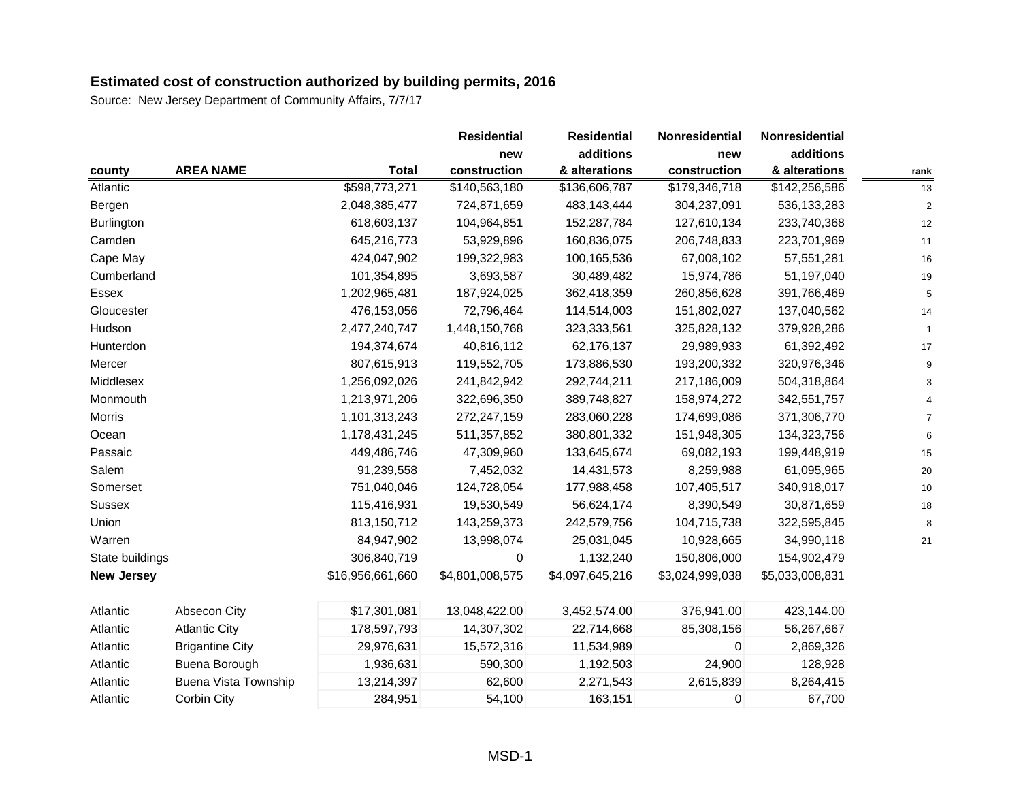|                   |                             |                  | <b>Residential</b> | <b>Residential</b> | Nonresidential  | Nonresidential  |                |
|-------------------|-----------------------------|------------------|--------------------|--------------------|-----------------|-----------------|----------------|
|                   |                             |                  | new                | additions          | new             | additions       |                |
| county            | <b>AREA NAME</b>            | Total            | construction       | & alterations      | construction    | & alterations   | rank           |
| Atlantic          |                             | \$598,773,271    | \$140,563,180      | \$136,606,787      | \$179,346,718   | \$142,256,586   | 13             |
| Bergen            |                             | 2,048,385,477    | 724,871,659        | 483,143,444        | 304,237,091     | 536,133,283     | $\overline{2}$ |
| Burlington        |                             | 618,603,137      | 104,964,851        | 152,287,784        | 127,610,134     | 233,740,368     | 12             |
| Camden            |                             | 645,216,773      | 53,929,896         | 160,836,075        | 206,748,833     | 223,701,969     | 11             |
| Cape May          |                             | 424,047,902      | 199,322,983        | 100,165,536        | 67,008,102      | 57,551,281      | 16             |
| Cumberland        |                             | 101,354,895      | 3,693,587          | 30,489,482         | 15,974,786      | 51,197,040      | 19             |
| Essex             |                             | 1,202,965,481    | 187,924,025        | 362,418,359        | 260,856,628     | 391,766,469     | 5              |
| Gloucester        |                             | 476,153,056      | 72,796,464         | 114,514,003        | 151,802,027     | 137,040,562     | 14             |
| Hudson            |                             | 2,477,240,747    | 1,448,150,768      | 323,333,561        | 325,828,132     | 379,928,286     |                |
| Hunterdon         |                             | 194,374,674      | 40,816,112         | 62,176,137         | 29,989,933      | 61,392,492      | 17             |
| Mercer            |                             | 807,615,913      | 119,552,705        | 173,886,530        | 193,200,332     | 320,976,346     | 9              |
| Middlesex         |                             | 1,256,092,026    | 241,842,942        | 292,744,211        | 217,186,009     | 504,318,864     |                |
| Monmouth          |                             | 1,213,971,206    | 322,696,350        | 389,748,827        | 158,974,272     | 342,551,757     |                |
| Morris            |                             | 1,101,313,243    | 272,247,159        | 283,060,228        | 174,699,086     | 371,306,770     |                |
| Ocean             |                             | 1,178,431,245    | 511,357,852        | 380,801,332        | 151,948,305     | 134,323,756     | 6              |
| Passaic           |                             | 449,486,746      | 47,309,960         | 133,645,674        | 69,082,193      | 199,448,919     | 15             |
| Salem             |                             | 91,239,558       | 7,452,032          | 14,431,573         | 8,259,988       | 61,095,965      | 20             |
| Somerset          |                             | 751,040,046      | 124,728,054        | 177,988,458        | 107,405,517     | 340,918,017     | 10             |
| Sussex            |                             | 115,416,931      | 19,530,549         | 56,624,174         | 8,390,549       | 30,871,659      | 18             |
| Union             |                             | 813,150,712      | 143,259,373        | 242,579,756        | 104,715,738     | 322,595,845     | 8              |
| Warren            |                             | 84,947,902       | 13,998,074         | 25,031,045         | 10,928,665      | 34,990,118      | 21             |
| State buildings   |                             | 306,840,719      | 0                  | 1,132,240          | 150,806,000     | 154,902,479     |                |
| <b>New Jersey</b> |                             | \$16,956,661,660 | \$4,801,008,575    | \$4,097,645,216    | \$3,024,999,038 | \$5,033,008,831 |                |
| Atlantic          | Absecon City                | \$17,301,081     | 13,048,422.00      | 3,452,574.00       | 376,941.00      | 423,144.00      |                |
| Atlantic          | <b>Atlantic City</b>        | 178,597,793      | 14,307,302         | 22,714,668         | 85,308,156      | 56,267,667      |                |
| Atlantic          | <b>Brigantine City</b>      | 29,976,631       | 15,572,316         | 11,534,989         | $\mathbf 0$     | 2,869,326       |                |
| Atlantic          | Buena Borough               | 1,936,631        | 590,300            | 1,192,503          | 24,900          | 128,928         |                |
| Atlantic          | <b>Buena Vista Township</b> | 13,214,397       | 62,600             | 2,271,543          | 2,615,839       | 8,264,415       |                |
| Atlantic          | Corbin City                 | 284,951          | 54,100             | 163,151            | 0               | 67,700          |                |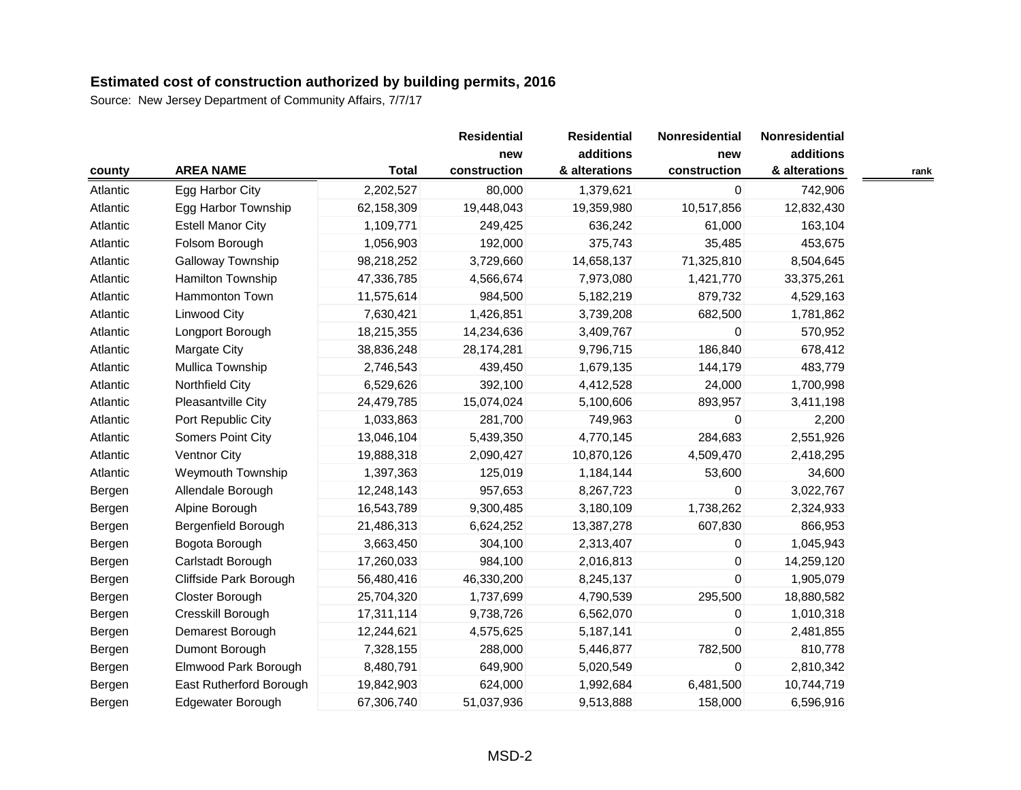|          |                          |              | <b>Residential</b> | <b>Residential</b> | Nonresidential | Nonresidential |      |
|----------|--------------------------|--------------|--------------------|--------------------|----------------|----------------|------|
|          |                          |              | new                | additions          | new            | additions      |      |
| county   | <b>AREA NAME</b>         | <b>Total</b> | construction       | & alterations      | construction   | & alterations  | rank |
| Atlantic | Egg Harbor City          | 2,202,527    | 80,000             | 1,379,621          | $\pmb{0}$      | 742,906        |      |
| Atlantic | Egg Harbor Township      | 62,158,309   | 19,448,043         | 19,359,980         | 10,517,856     | 12,832,430     |      |
| Atlantic | <b>Estell Manor City</b> | 1,109,771    | 249,425            | 636,242            | 61,000         | 163,104        |      |
| Atlantic | Folsom Borough           | 1,056,903    | 192,000            | 375,743            | 35,485         | 453,675        |      |
| Atlantic | Galloway Township        | 98,218,252   | 3,729,660          | 14,658,137         | 71,325,810     | 8,504,645      |      |
| Atlantic | Hamilton Township        | 47,336,785   | 4,566,674          | 7,973,080          | 1,421,770      | 33,375,261     |      |
| Atlantic | Hammonton Town           | 11,575,614   | 984,500            | 5,182,219          | 879,732        | 4,529,163      |      |
| Atlantic | <b>Linwood City</b>      | 7,630,421    | 1,426,851          | 3,739,208          | 682,500        | 1,781,862      |      |
| Atlantic | Longport Borough         | 18,215,355   | 14,234,636         | 3,409,767          | 0              | 570,952        |      |
| Atlantic | Margate City             | 38,836,248   | 28,174,281         | 9,796,715          | 186,840        | 678,412        |      |
| Atlantic | Mullica Township         | 2,746,543    | 439,450            | 1,679,135          | 144,179        | 483,779        |      |
| Atlantic | Northfield City          | 6,529,626    | 392,100            | 4,412,528          | 24,000         | 1,700,998      |      |
| Atlantic | Pleasantville City       | 24,479,785   | 15,074,024         | 5,100,606          | 893,957        | 3,411,198      |      |
| Atlantic | Port Republic City       | 1,033,863    | 281,700            | 749,963            | $\mathbf 0$    | 2,200          |      |
| Atlantic | Somers Point City        | 13,046,104   | 5,439,350          | 4,770,145          | 284,683        | 2,551,926      |      |
| Atlantic | Ventnor City             | 19,888,318   | 2,090,427          | 10,870,126         | 4,509,470      | 2,418,295      |      |
| Atlantic | Weymouth Township        | 1,397,363    | 125,019            | 1,184,144          | 53,600         | 34,600         |      |
| Bergen   | Allendale Borough        | 12,248,143   | 957,653            | 8,267,723          | $\mathbf 0$    | 3,022,767      |      |
| Bergen   | Alpine Borough           | 16,543,789   | 9,300,485          | 3,180,109          | 1,738,262      | 2,324,933      |      |
| Bergen   | Bergenfield Borough      | 21,486,313   | 6,624,252          | 13,387,278         | 607,830        | 866,953        |      |
| Bergen   | Bogota Borough           | 3,663,450    | 304,100            | 2,313,407          | $\mathbf{0}$   | 1,045,943      |      |
| Bergen   | Carlstadt Borough        | 17,260,033   | 984,100            | 2,016,813          | 0              | 14,259,120     |      |
| Bergen   | Cliffside Park Borough   | 56,480,416   | 46,330,200         | 8,245,137          | 0              | 1,905,079      |      |
| Bergen   | Closter Borough          | 25,704,320   | 1,737,699          | 4,790,539          | 295,500        | 18,880,582     |      |
| Bergen   | Cresskill Borough        | 17,311,114   | 9,738,726          | 6,562,070          | 0              | 1,010,318      |      |
| Bergen   | Demarest Borough         | 12,244,621   | 4,575,625          | 5,187,141          | $\Omega$       | 2,481,855      |      |
| Bergen   | Dumont Borough           | 7,328,155    | 288,000            | 5,446,877          | 782,500        | 810,778        |      |
| Bergen   | Elmwood Park Borough     | 8,480,791    | 649,900            | 5,020,549          | $\mathbf 0$    | 2,810,342      |      |
| Bergen   | East Rutherford Borough  | 19,842,903   | 624,000            | 1,992,684          | 6,481,500      | 10,744,719     |      |
| Bergen   | Edgewater Borough        | 67,306,740   | 51,037,936         | 9,513,888          | 158,000        | 6,596,916      |      |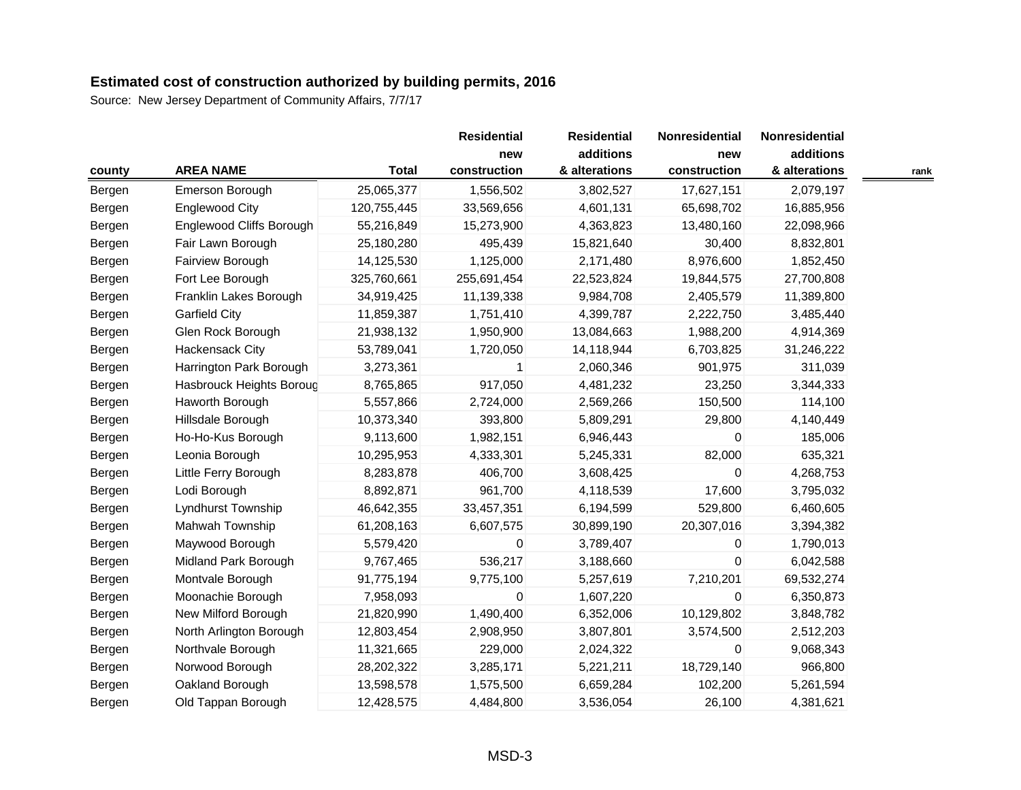|        |                          |              | <b>Residential</b>  | <b>Residential</b>         | Nonresidential      | Nonresidential             |      |
|--------|--------------------------|--------------|---------------------|----------------------------|---------------------|----------------------------|------|
| county | <b>AREA NAME</b>         | <b>Total</b> | new<br>construction | additions<br>& alterations | new<br>construction | additions<br>& alterations | rank |
| Bergen | Emerson Borough          | 25,065,377   | 1,556,502           | 3,802,527                  | 17,627,151          | 2,079,197                  |      |
| Bergen | <b>Englewood City</b>    | 120,755,445  | 33,569,656          | 4,601,131                  | 65,698,702          | 16,885,956                 |      |
| Bergen | Englewood Cliffs Borough | 55,216,849   | 15,273,900          | 4,363,823                  | 13,480,160          | 22,098,966                 |      |
| Bergen | Fair Lawn Borough        | 25,180,280   | 495,439             | 15,821,640                 | 30,400              | 8,832,801                  |      |
| Bergen | Fairview Borough         | 14,125,530   | 1,125,000           | 2,171,480                  | 8,976,600           | 1,852,450                  |      |
| Bergen | Fort Lee Borough         | 325,760,661  | 255,691,454         | 22,523,824                 | 19,844,575          | 27,700,808                 |      |
| Bergen | Franklin Lakes Borough   | 34,919,425   | 11,139,338          | 9,984,708                  | 2,405,579           | 11,389,800                 |      |
| Bergen | <b>Garfield City</b>     | 11,859,387   | 1,751,410           | 4,399,787                  | 2,222,750           | 3,485,440                  |      |
| Bergen | Glen Rock Borough        | 21,938,132   | 1,950,900           | 13,084,663                 | 1,988,200           | 4,914,369                  |      |
| Bergen | Hackensack City          | 53,789,041   | 1,720,050           | 14,118,944                 | 6,703,825           | 31,246,222                 |      |
| Bergen | Harrington Park Borough  | 3,273,361    | 1                   | 2,060,346                  | 901,975             | 311,039                    |      |
| Bergen | Hasbrouck Heights Boroug | 8,765,865    | 917,050             | 4,481,232                  | 23,250              | 3,344,333                  |      |
| Bergen | Haworth Borough          | 5,557,866    | 2,724,000           | 2,569,266                  | 150,500             | 114,100                    |      |
| Bergen | Hillsdale Borough        | 10,373,340   | 393,800             | 5,809,291                  | 29,800              | 4,140,449                  |      |
| Bergen | Ho-Ho-Kus Borough        | 9,113,600    | 1,982,151           | 6,946,443                  | 0                   | 185,006                    |      |
| Bergen | Leonia Borough           | 10,295,953   | 4,333,301           | 5,245,331                  | 82,000              | 635,321                    |      |
| Bergen | Little Ferry Borough     | 8,283,878    | 406,700             | 3,608,425                  | $\mathbf 0$         | 4,268,753                  |      |
| Bergen | Lodi Borough             | 8,892,871    | 961,700             | 4,118,539                  | 17,600              | 3,795,032                  |      |
| Bergen | Lyndhurst Township       | 46,642,355   | 33,457,351          | 6,194,599                  | 529,800             | 6,460,605                  |      |
| Bergen | Mahwah Township          | 61,208,163   | 6,607,575           | 30,899,190                 | 20,307,016          | 3,394,382                  |      |
| Bergen | Maywood Borough          | 5,579,420    | 0                   | 3,789,407                  | 0                   | 1,790,013                  |      |
| Bergen | Midland Park Borough     | 9,767,465    | 536,217             | 3,188,660                  | 0                   | 6,042,588                  |      |
| Bergen | Montvale Borough         | 91,775,194   | 9,775,100           | 5,257,619                  | 7,210,201           | 69,532,274                 |      |
| Bergen | Moonachie Borough        | 7,958,093    | 0                   | 1,607,220                  | $\mathbf 0$         | 6,350,873                  |      |
| Bergen | New Milford Borough      | 21,820,990   | 1,490,400           | 6,352,006                  | 10,129,802          | 3,848,782                  |      |
| Bergen | North Arlington Borough  | 12,803,454   | 2,908,950           | 3,807,801                  | 3,574,500           | 2,512,203                  |      |
| Bergen | Northvale Borough        | 11,321,665   | 229,000             | 2,024,322                  | $\mathbf{0}$        | 9,068,343                  |      |
| Bergen | Norwood Borough          | 28,202,322   | 3,285,171           | 5,221,211                  | 18,729,140          | 966,800                    |      |
| Bergen | Oakland Borough          | 13,598,578   | 1,575,500           | 6,659,284                  | 102,200             | 5,261,594                  |      |
| Bergen | Old Tappan Borough       | 12,428,575   | 4,484,800           | 3,536,054                  | 26,100              | 4,381,621                  |      |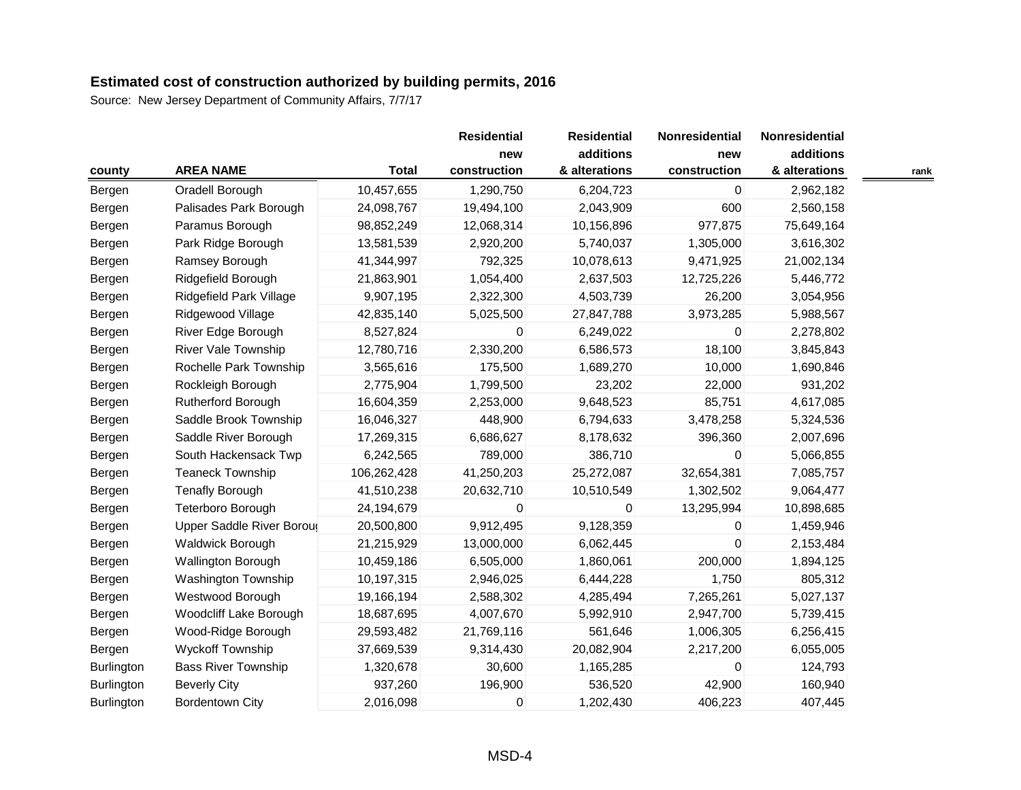|                   |                            |              | <b>Residential</b> | <b>Residential</b> | Nonresidential | Nonresidential |      |
|-------------------|----------------------------|--------------|--------------------|--------------------|----------------|----------------|------|
|                   |                            |              | new                | additions          | new            | additions      |      |
| county            | <b>AREA NAME</b>           | <b>Total</b> | construction       | & alterations      | construction   | & alterations  | rank |
| Bergen            | Oradell Borough            | 10,457,655   | 1,290,750          | 6,204,723          | $\mathbf 0$    | 2,962,182      |      |
| Bergen            | Palisades Park Borough     | 24,098,767   | 19,494,100         | 2,043,909          | 600            | 2,560,158      |      |
| Bergen            | Paramus Borough            | 98,852,249   | 12,068,314         | 10,156,896         | 977,875        | 75,649,164     |      |
| Bergen            | Park Ridge Borough         | 13,581,539   | 2,920,200          | 5,740,037          | 1,305,000      | 3,616,302      |      |
| Bergen            | Ramsey Borough             | 41,344,997   | 792,325            | 10,078,613         | 9,471,925      | 21,002,134     |      |
| Bergen            | Ridgefield Borough         | 21,863,901   | 1,054,400          | 2,637,503          | 12,725,226     | 5,446,772      |      |
| Bergen            | Ridgefield Park Village    | 9,907,195    | 2,322,300          | 4,503,739          | 26,200         | 3,054,956      |      |
| Bergen            | Ridgewood Village          | 42,835,140   | 5,025,500          | 27,847,788         | 3,973,285      | 5,988,567      |      |
| Bergen            | River Edge Borough         | 8,527,824    | 0                  | 6,249,022          | 0              | 2,278,802      |      |
| Bergen            | <b>River Vale Township</b> | 12,780,716   | 2,330,200          | 6,586,573          | 18,100         | 3,845,843      |      |
| Bergen            | Rochelle Park Township     | 3,565,616    | 175,500            | 1,689,270          | 10,000         | 1,690,846      |      |
| Bergen            | Rockleigh Borough          | 2,775,904    | 1,799,500          | 23,202             | 22,000         | 931,202        |      |
| Bergen            | Rutherford Borough         | 16,604,359   | 2,253,000          | 9,648,523          | 85,751         | 4,617,085      |      |
| Bergen            | Saddle Brook Township      | 16,046,327   | 448,900            | 6,794,633          | 3,478,258      | 5,324,536      |      |
| Bergen            | Saddle River Borough       | 17,269,315   | 6,686,627          | 8,178,632          | 396,360        | 2,007,696      |      |
| Bergen            | South Hackensack Twp       | 6,242,565    | 789,000            | 386,710            | 0              | 5,066,855      |      |
| Bergen            | Teaneck Township           | 106,262,428  | 41,250,203         | 25,272,087         | 32,654,381     | 7,085,757      |      |
| Bergen            | <b>Tenafly Borough</b>     | 41,510,238   | 20,632,710         | 10,510,549         | 1,302,502      | 9,064,477      |      |
| Bergen            | Teterboro Borough          | 24,194,679   | 0                  | 0                  | 13,295,994     | 10,898,685     |      |
| Bergen            | Upper Saddle River Boroug  | 20,500,800   | 9,912,495          | 9,128,359          | 0              | 1,459,946      |      |
| Bergen            | Waldwick Borough           | 21,215,929   | 13,000,000         | 6,062,445          | 0              | 2,153,484      |      |
| Bergen            | <b>Wallington Borough</b>  | 10,459,186   | 6,505,000          | 1,860,061          | 200,000        | 1,894,125      |      |
| Bergen            | Washington Township        | 10,197,315   | 2,946,025          | 6,444,228          | 1,750          | 805,312        |      |
| Bergen            | Westwood Borough           | 19,166,194   | 2,588,302          | 4,285,494          | 7,265,261      | 5,027,137      |      |
| Bergen            | Woodcliff Lake Borough     | 18,687,695   | 4,007,670          | 5,992,910          | 2,947,700      | 5,739,415      |      |
| Bergen            | Wood-Ridge Borough         | 29,593,482   | 21,769,116         | 561,646            | 1,006,305      | 6,256,415      |      |
| Bergen            | <b>Wyckoff Township</b>    | 37,669,539   | 9,314,430          | 20,082,904         | 2,217,200      | 6,055,005      |      |
| Burlington        | <b>Bass River Township</b> | 1,320,678    | 30,600             | 1,165,285          | $\mathbf 0$    | 124,793        |      |
| Burlington        | <b>Beverly City</b>        | 937,260      | 196,900            | 536,520            | 42,900         | 160,940        |      |
| <b>Burlington</b> | Bordentown City            | 2,016,098    | 0                  | 1,202,430          | 406,223        | 407,445        |      |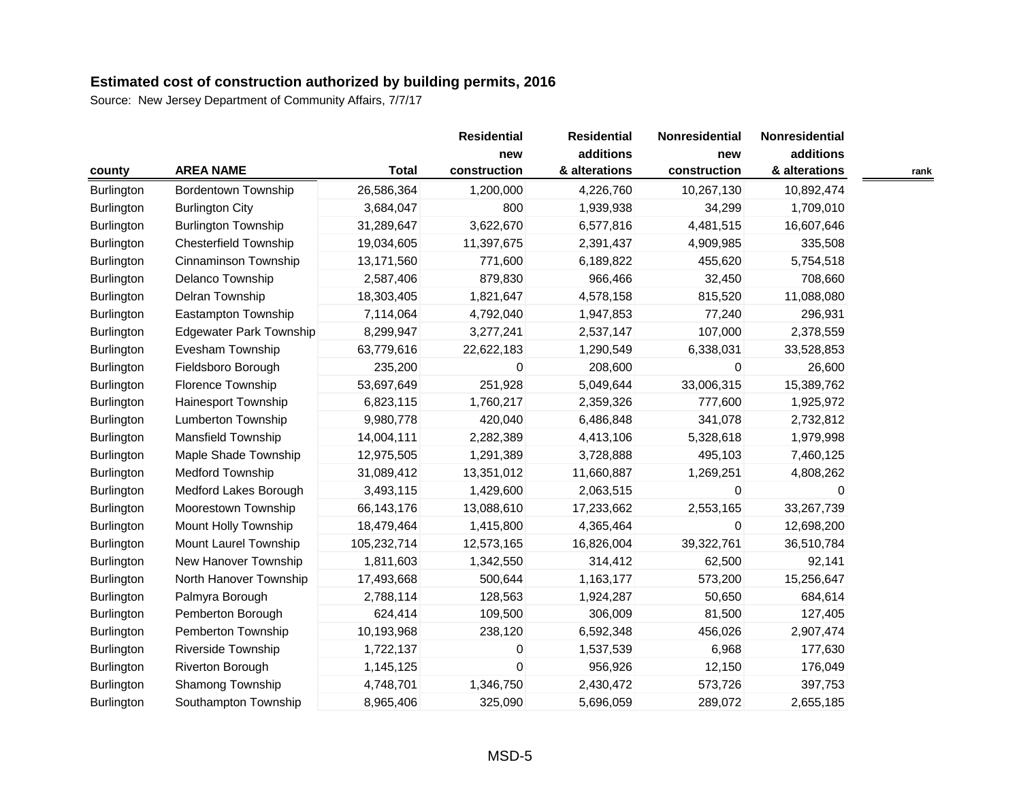| county            | <b>AREA NAME</b>               | <b>Total</b> | <b>Residential</b><br>new<br>construction | <b>Residential</b><br>additions<br>& alterations | Nonresidential<br>new<br>construction | Nonresidential<br>additions<br>& alterations | rank |
|-------------------|--------------------------------|--------------|-------------------------------------------|--------------------------------------------------|---------------------------------------|----------------------------------------------|------|
| <b>Burlington</b> | <b>Bordentown Township</b>     | 26,586,364   | 1,200,000                                 | 4,226,760                                        | 10,267,130                            | 10,892,474                                   |      |
| <b>Burlington</b> | <b>Burlington City</b>         | 3,684,047    | 800                                       | 1,939,938                                        | 34,299                                | 1,709,010                                    |      |
| Burlington        | <b>Burlington Township</b>     | 31,289,647   | 3,622,670                                 | 6,577,816                                        | 4,481,515                             | 16,607,646                                   |      |
| Burlington        | <b>Chesterfield Township</b>   | 19,034,605   | 11,397,675                                | 2,391,437                                        | 4,909,985                             | 335,508                                      |      |
| Burlington        | Cinnaminson Township           | 13,171,560   | 771,600                                   | 6,189,822                                        | 455,620                               | 5,754,518                                    |      |
| Burlington        | Delanco Township               | 2,587,406    | 879,830                                   | 966,466                                          | 32,450                                | 708,660                                      |      |
| Burlington        | Delran Township                | 18,303,405   | 1,821,647                                 | 4,578,158                                        | 815,520                               | 11,088,080                                   |      |
| <b>Burlington</b> | Eastampton Township            | 7,114,064    | 4,792,040                                 | 1,947,853                                        | 77,240                                | 296,931                                      |      |
| <b>Burlington</b> | <b>Edgewater Park Township</b> | 8,299,947    | 3,277,241                                 | 2,537,147                                        | 107,000                               | 2,378,559                                    |      |
| <b>Burlington</b> | Evesham Township               | 63,779,616   | 22,622,183                                | 1,290,549                                        | 6,338,031                             | 33,528,853                                   |      |
| Burlington        | Fieldsboro Borough             | 235,200      | 0                                         | 208,600                                          | 0                                     | 26,600                                       |      |
| Burlington        | Florence Township              | 53,697,649   | 251,928                                   | 5,049,644                                        | 33,006,315                            | 15,389,762                                   |      |
| Burlington        | Hainesport Township            | 6,823,115    | 1,760,217                                 | 2,359,326                                        | 777,600                               | 1,925,972                                    |      |
| <b>Burlington</b> | <b>Lumberton Township</b>      | 9,980,778    | 420,040                                   | 6,486,848                                        | 341,078                               | 2,732,812                                    |      |
| <b>Burlington</b> | <b>Mansfield Township</b>      | 14,004,111   | 2,282,389                                 | 4,413,106                                        | 5,328,618                             | 1,979,998                                    |      |
| <b>Burlington</b> | Maple Shade Township           | 12,975,505   | 1,291,389                                 | 3,728,888                                        | 495,103                               | 7,460,125                                    |      |
| Burlington        | <b>Medford Township</b>        | 31,089,412   | 13,351,012                                | 11,660,887                                       | 1,269,251                             | 4,808,262                                    |      |
| Burlington        | Medford Lakes Borough          | 3,493,115    | 1,429,600                                 | 2,063,515                                        | $\Omega$                              | $\Omega$                                     |      |
| <b>Burlington</b> | Moorestown Township            | 66,143,176   | 13,088,610                                | 17,233,662                                       | 2,553,165                             | 33,267,739                                   |      |
| Burlington        | Mount Holly Township           | 18,479,464   | 1,415,800                                 | 4,365,464                                        | 0                                     | 12,698,200                                   |      |
| <b>Burlington</b> | Mount Laurel Township          | 105,232,714  | 12,573,165                                | 16,826,004                                       | 39,322,761                            | 36,510,784                                   |      |
| <b>Burlington</b> | New Hanover Township           | 1,811,603    | 1,342,550                                 | 314,412                                          | 62,500                                | 92,141                                       |      |
| <b>Burlington</b> | North Hanover Township         | 17,493,668   | 500,644                                   | 1,163,177                                        | 573,200                               | 15,256,647                                   |      |
| Burlington        | Palmyra Borough                | 2,788,114    | 128,563                                   | 1,924,287                                        | 50,650                                | 684,614                                      |      |
| Burlington        | Pemberton Borough              | 624,414      | 109,500                                   | 306,009                                          | 81,500                                | 127,405                                      |      |
| Burlington        | Pemberton Township             | 10,193,968   | 238,120                                   | 6,592,348                                        | 456,026                               | 2,907,474                                    |      |
| Burlington        | Riverside Township             | 1,722,137    | 0                                         | 1,537,539                                        | 6,968                                 | 177,630                                      |      |
| <b>Burlington</b> | Riverton Borough               | 1,145,125    | 0                                         | 956,926                                          | 12,150                                | 176,049                                      |      |
| Burlington        | Shamong Township               | 4,748,701    | 1,346,750                                 | 2,430,472                                        | 573,726                               | 397,753                                      |      |
| <b>Burlington</b> | Southampton Township           | 8,965,406    | 325,090                                   | 5,696,059                                        | 289,072                               | 2,655,185                                    |      |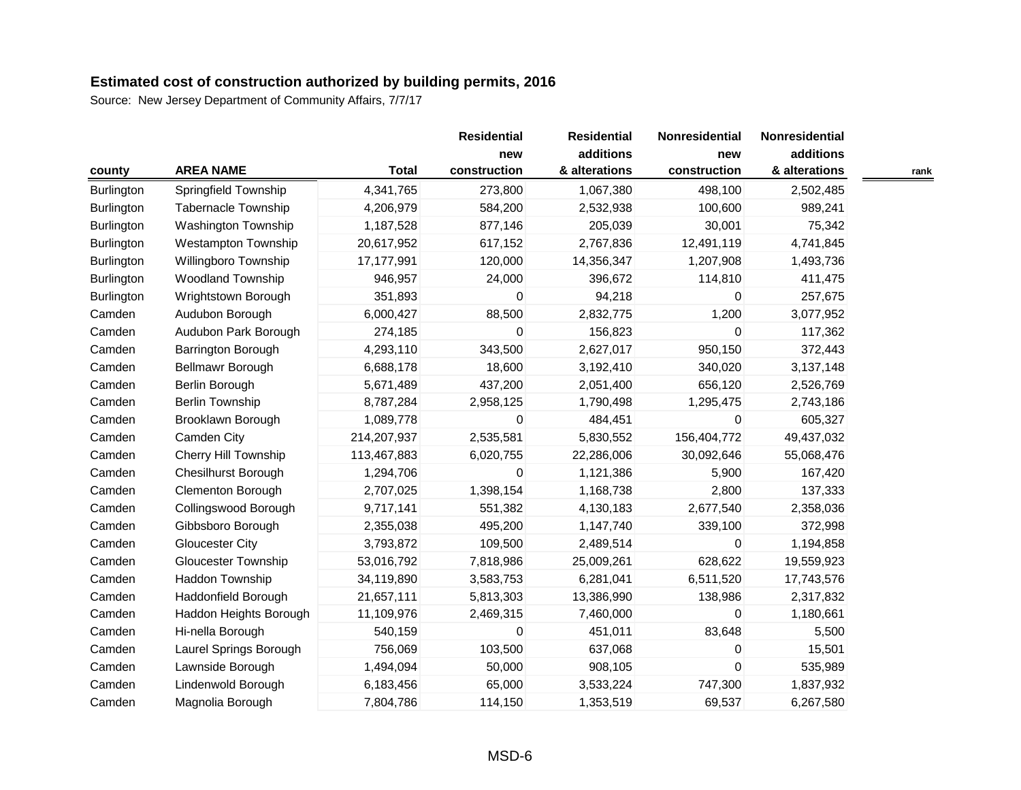|                   |                             |              | <b>Residential</b>  | <b>Residential</b>         | Nonresidential      | Nonresidential             |      |
|-------------------|-----------------------------|--------------|---------------------|----------------------------|---------------------|----------------------------|------|
| county            | <b>AREA NAME</b>            | <b>Total</b> | new<br>construction | additions<br>& alterations | new<br>construction | additions<br>& alterations | rank |
| <b>Burlington</b> | Springfield Township        | 4,341,765    | 273,800             | 1,067,380                  | 498,100             | 2,502,485                  |      |
| <b>Burlington</b> | Tabernacle Township         | 4,206,979    | 584,200             | 2,532,938                  | 100,600             | 989,241                    |      |
| <b>Burlington</b> | Washington Township         | 1,187,528    | 877,146             | 205,039                    | 30,001              | 75,342                     |      |
| Burlington        | <b>Westampton Township</b>  | 20,617,952   | 617,152             | 2,767,836                  | 12,491,119          | 4,741,845                  |      |
| <b>Burlington</b> | Willingboro Township        | 17,177,991   | 120,000             | 14,356,347                 | 1,207,908           | 1,493,736                  |      |
| Burlington        | <b>Woodland Township</b>    | 946,957      | 24,000              | 396,672                    | 114,810             | 411,475                    |      |
| Burlington        | Wrightstown Borough         | 351,893      | 0                   | 94,218                     | $\Omega$            | 257,675                    |      |
| Camden            | Audubon Borough             | 6,000,427    | 88,500              | 2,832,775                  | 1,200               | 3,077,952                  |      |
| Camden            | Audubon Park Borough        | 274,185      | 0                   | 156,823                    | 0                   | 117,362                    |      |
| Camden            | Barrington Borough          | 4,293,110    | 343,500             | 2,627,017                  | 950,150             | 372,443                    |      |
| Camden            | Bellmawr Borough            | 6,688,178    | 18,600              | 3,192,410                  | 340,020             | 3,137,148                  |      |
| Camden            | Berlin Borough              | 5,671,489    | 437,200             | 2,051,400                  | 656,120             | 2,526,769                  |      |
| Camden            | <b>Berlin Township</b>      | 8,787,284    | 2,958,125           | 1,790,498                  | 1,295,475           | 2,743,186                  |      |
| Camden            | Brooklawn Borough           | 1,089,778    | 0                   | 484,451                    | 0                   | 605,327                    |      |
| Camden            | Camden City                 | 214,207,937  | 2,535,581           | 5,830,552                  | 156,404,772         | 49,437,032                 |      |
| Camden            | <b>Cherry Hill Township</b> | 113,467,883  | 6,020,755           | 22,286,006                 | 30,092,646          | 55,068,476                 |      |
| Camden            | <b>Chesilhurst Borough</b>  | 1,294,706    | 0                   | 1,121,386                  | 5,900               | 167,420                    |      |
| Camden            | Clementon Borough           | 2,707,025    | 1,398,154           | 1,168,738                  | 2,800               | 137,333                    |      |
| Camden            | Collingswood Borough        | 9,717,141    | 551,382             | 4,130,183                  | 2,677,540           | 2,358,036                  |      |
| Camden            | Gibbsboro Borough           | 2,355,038    | 495,200             | 1,147,740                  | 339,100             | 372,998                    |      |
| Camden            | <b>Gloucester City</b>      | 3,793,872    | 109,500             | 2,489,514                  | 0                   | 1,194,858                  |      |
| Camden            | <b>Gloucester Township</b>  | 53,016,792   | 7,818,986           | 25,009,261                 | 628,622             | 19,559,923                 |      |
| Camden            | Haddon Township             | 34,119,890   | 3,583,753           | 6,281,041                  | 6,511,520           | 17,743,576                 |      |
| Camden            | Haddonfield Borough         | 21,657,111   | 5,813,303           | 13,386,990                 | 138,986             | 2,317,832                  |      |
| Camden            | Haddon Heights Borough      | 11,109,976   | 2,469,315           | 7,460,000                  | $\mathbf 0$         | 1,180,661                  |      |
| Camden            | Hi-nella Borough            | 540,159      | 0                   | 451,011                    | 83,648              | 5,500                      |      |
| Camden            | Laurel Springs Borough      | 756,069      | 103,500             | 637,068                    | 0                   | 15,501                     |      |
| Camden            | Lawnside Borough            | 1,494,094    | 50,000              | 908,105                    | $\mathbf 0$         | 535,989                    |      |
| Camden            | Lindenwold Borough          | 6,183,456    | 65,000              | 3,533,224                  | 747,300             | 1,837,932                  |      |
| Camden            | Magnolia Borough            | 7,804,786    | 114,150             | 1,353,519                  | 69,537              | 6,267,580                  |      |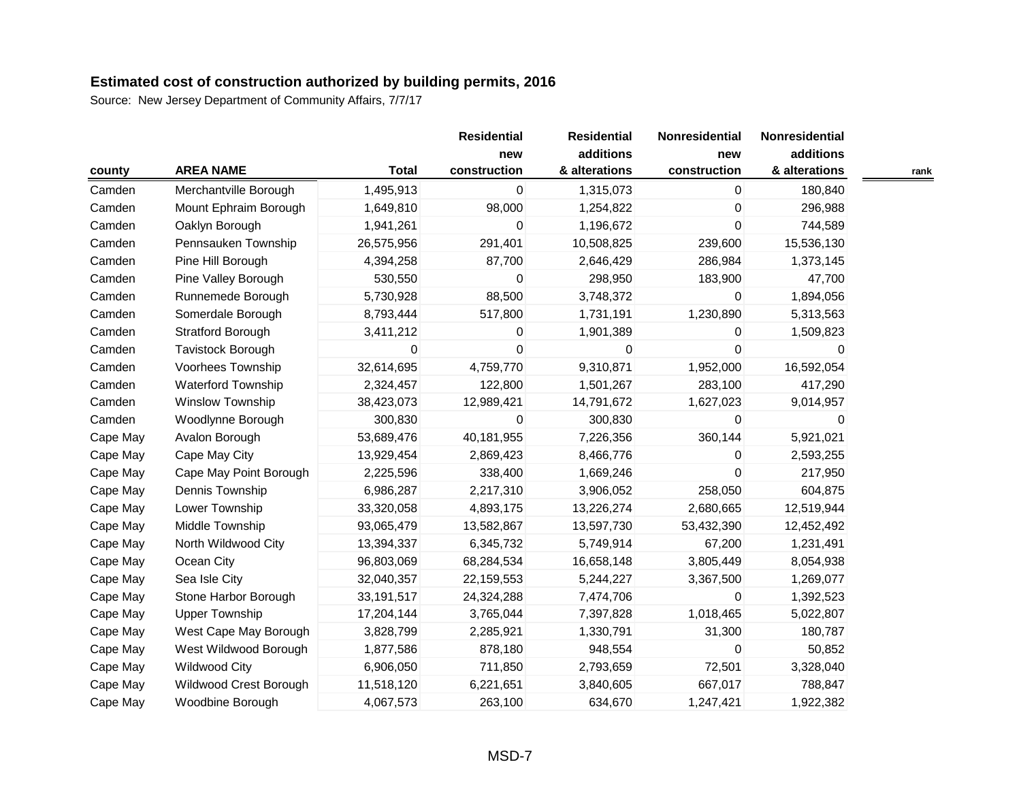|          |                           |              | <b>Residential</b><br>new | <b>Residential</b><br>additions | Nonresidential<br>new | Nonresidential<br>additions |      |
|----------|---------------------------|--------------|---------------------------|---------------------------------|-----------------------|-----------------------------|------|
| county   | <b>AREA NAME</b>          | <b>Total</b> | construction              | & alterations                   | construction          | & alterations               | rank |
| Camden   | Merchantville Borough     | 1,495,913    | 0                         | 1,315,073                       | 0                     | 180,840                     |      |
| Camden   | Mount Ephraim Borough     | 1,649,810    | 98,000                    | 1,254,822                       | 0                     | 296,988                     |      |
| Camden   | Oaklyn Borough            | 1,941,261    | 0                         | 1,196,672                       | $\mathbf 0$           | 744,589                     |      |
| Camden   | Pennsauken Township       | 26,575,956   | 291,401                   | 10,508,825                      | 239,600               | 15,536,130                  |      |
| Camden   | Pine Hill Borough         | 4,394,258    | 87,700                    | 2,646,429                       | 286,984               | 1,373,145                   |      |
| Camden   | Pine Valley Borough       | 530,550      | 0                         | 298,950                         | 183,900               | 47,700                      |      |
| Camden   | Runnemede Borough         | 5,730,928    | 88,500                    | 3,748,372                       | $\Omega$              | 1,894,056                   |      |
| Camden   | Somerdale Borough         | 8,793,444    | 517,800                   | 1,731,191                       | 1,230,890             | 5,313,563                   |      |
| Camden   | Stratford Borough         | 3,411,212    | 0                         | 1,901,389                       | 0                     | 1,509,823                   |      |
| Camden   | Tavistock Borough         | 0            | 0                         | $\overline{0}$                  | $\mathbf 0$           | U                           |      |
| Camden   | Voorhees Township         | 32,614,695   | 4,759,770                 | 9,310,871                       | 1,952,000             | 16,592,054                  |      |
| Camden   | <b>Waterford Township</b> | 2,324,457    | 122,800                   | 1,501,267                       | 283,100               | 417,290                     |      |
| Camden   | Winslow Township          | 38,423,073   | 12,989,421                | 14,791,672                      | 1,627,023             | 9,014,957                   |      |
| Camden   | Woodlynne Borough         | 300,830      | 0                         | 300,830                         | $\Omega$              | 0                           |      |
| Cape May | Avalon Borough            | 53,689,476   | 40,181,955                | 7,226,356                       | 360,144               | 5,921,021                   |      |
| Cape May | Cape May City             | 13,929,454   | 2,869,423                 | 8,466,776                       | 0                     | 2,593,255                   |      |
| Cape May | Cape May Point Borough    | 2,225,596    | 338,400                   | 1,669,246                       | $\mathbf 0$           | 217,950                     |      |
| Cape May | Dennis Township           | 6,986,287    | 2,217,310                 | 3,906,052                       | 258,050               | 604,875                     |      |
| Cape May | Lower Township            | 33,320,058   | 4,893,175                 | 13,226,274                      | 2,680,665             | 12,519,944                  |      |
| Cape May | Middle Township           | 93,065,479   | 13,582,867                | 13,597,730                      | 53,432,390            | 12,452,492                  |      |
| Cape May | North Wildwood City       | 13,394,337   | 6,345,732                 | 5,749,914                       | 67,200                | 1,231,491                   |      |
| Cape May | Ocean City                | 96,803,069   | 68,284,534                | 16,658,148                      | 3,805,449             | 8,054,938                   |      |
| Cape May | Sea Isle City             | 32,040,357   | 22,159,553                | 5,244,227                       | 3,367,500             | 1,269,077                   |      |
| Cape May | Stone Harbor Borough      | 33,191,517   | 24,324,288                | 7,474,706                       | $\mathbf 0$           | 1,392,523                   |      |
| Cape May | <b>Upper Township</b>     | 17,204,144   | 3,765,044                 | 7,397,828                       | 1,018,465             | 5,022,807                   |      |
| Cape May | West Cape May Borough     | 3,828,799    | 2,285,921                 | 1,330,791                       | 31,300                | 180,787                     |      |
| Cape May | West Wildwood Borough     | 1,877,586    | 878,180                   | 948,554                         | 0                     | 50,852                      |      |
| Cape May | <b>Wildwood City</b>      | 6,906,050    | 711,850                   | 2,793,659                       | 72,501                | 3,328,040                   |      |
| Cape May | Wildwood Crest Borough    | 11,518,120   | 6,221,651                 | 3,840,605                       | 667,017               | 788,847                     |      |
| Cape May | Woodbine Borough          | 4,067,573    | 263,100                   | 634,670                         | 1,247,421             | 1,922,382                   |      |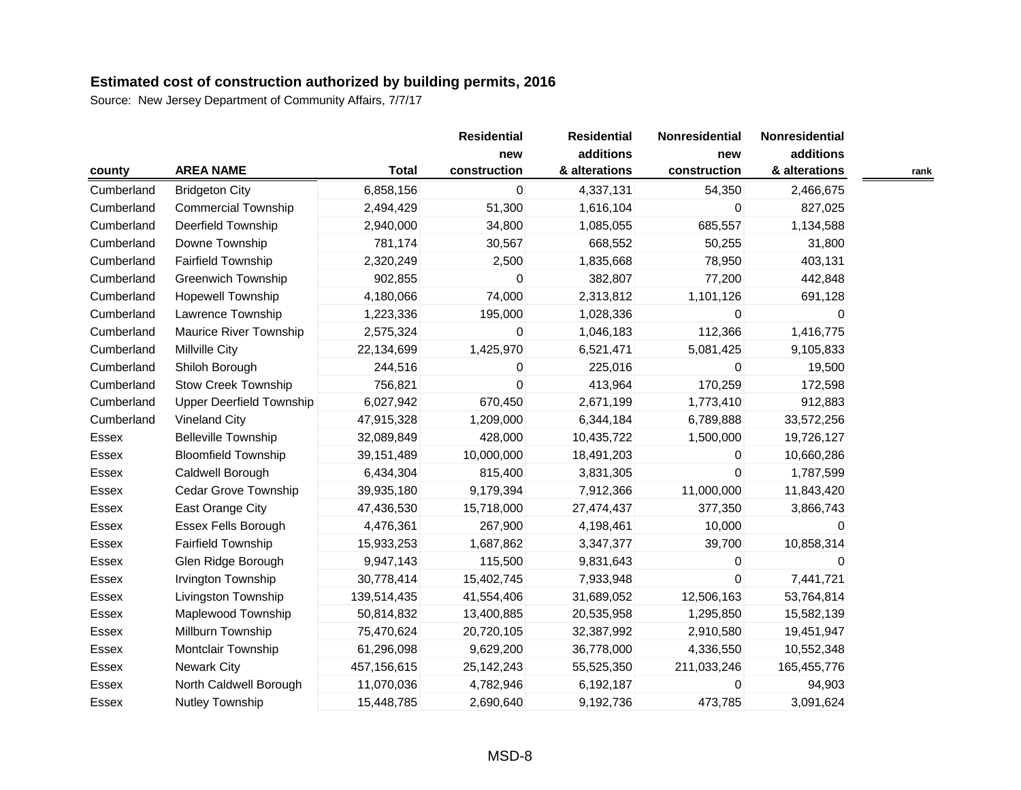| county     | <b>AREA NAME</b>                | <b>Total</b> | <b>Residential</b><br>new<br>construction | <b>Residential</b><br>additions<br>& alterations | Nonresidential<br>new<br>construction | Nonresidential<br>additions<br>& alterations | rank |
|------------|---------------------------------|--------------|-------------------------------------------|--------------------------------------------------|---------------------------------------|----------------------------------------------|------|
| Cumberland | <b>Bridgeton City</b>           | 6,858,156    | 0                                         | 4,337,131                                        | 54,350                                | 2,466,675                                    |      |
| Cumberland | <b>Commercial Township</b>      | 2,494,429    | 51,300                                    | 1,616,104                                        | 0                                     | 827,025                                      |      |
| Cumberland | Deerfield Township              | 2,940,000    | 34,800                                    | 1,085,055                                        | 685,557                               | 1,134,588                                    |      |
| Cumberland | Downe Township                  | 781,174      | 30,567                                    | 668,552                                          | 50,255                                | 31,800                                       |      |
| Cumberland | Fairfield Township              | 2,320,249    | 2,500                                     | 1,835,668                                        | 78,950                                | 403,131                                      |      |
| Cumberland | <b>Greenwich Township</b>       | 902,855      | 0                                         | 382,807                                          | 77,200                                | 442,848                                      |      |
| Cumberland | <b>Hopewell Township</b>        | 4,180,066    | 74,000                                    | 2,313,812                                        | 1,101,126                             | 691,128                                      |      |
| Cumberland | Lawrence Township               | 1,223,336    | 195,000                                   | 1,028,336                                        | 0                                     | 0                                            |      |
| Cumberland | <b>Maurice River Township</b>   | 2,575,324    | 0                                         | 1,046,183                                        | 112,366                               | 1,416,775                                    |      |
| Cumberland | <b>Millville City</b>           | 22,134,699   | 1,425,970                                 | 6,521,471                                        | 5,081,425                             | 9,105,833                                    |      |
| Cumberland | Shiloh Borough                  | 244,516      | 0                                         | 225,016                                          | $\Omega$                              | 19,500                                       |      |
| Cumberland | <b>Stow Creek Township</b>      | 756,821      | 0                                         | 413,964                                          | 170,259                               | 172,598                                      |      |
| Cumberland | <b>Upper Deerfield Township</b> | 6,027,942    | 670,450                                   | 2,671,199                                        | 1,773,410                             | 912,883                                      |      |
| Cumberland | Vineland City                   | 47,915,328   | 1,209,000                                 | 6,344,184                                        | 6,789,888                             | 33,572,256                                   |      |
| Essex      | <b>Belleville Township</b>      | 32,089,849   | 428,000                                   | 10,435,722                                       | 1,500,000                             | 19,726,127                                   |      |
| Essex      | <b>Bloomfield Township</b>      | 39,151,489   | 10,000,000                                | 18,491,203                                       | 0                                     | 10,660,286                                   |      |
| Essex      | Caldwell Borough                | 6,434,304    | 815,400                                   | 3,831,305                                        | $\mathbf 0$                           | 1,787,599                                    |      |
| Essex      | <b>Cedar Grove Township</b>     | 39,935,180   | 9,179,394                                 | 7,912,366                                        | 11,000,000                            | 11,843,420                                   |      |
| Essex      | East Orange City                | 47,436,530   | 15,718,000                                | 27,474,437                                       | 377,350                               | 3,866,743                                    |      |
| Essex      | Essex Fells Borough             | 4,476,361    | 267,900                                   | 4,198,461                                        | 10,000                                | 0                                            |      |
| Essex      | <b>Fairfield Township</b>       | 15,933,253   | 1,687,862                                 | 3,347,377                                        | 39,700                                | 10,858,314                                   |      |
| Essex      | Glen Ridge Borough              | 9,947,143    | 115,500                                   | 9,831,643                                        | 0                                     | 0                                            |      |
| Essex      | Irvington Township              | 30,778,414   | 15,402,745                                | 7,933,948                                        | $\boldsymbol{0}$                      | 7,441,721                                    |      |
| Essex      | Livingston Township             | 139,514,435  | 41,554,406                                | 31,689,052                                       | 12,506,163                            | 53,764,814                                   |      |
| Essex      | Maplewood Township              | 50,814,832   | 13,400,885                                | 20,535,958                                       | 1,295,850                             | 15,582,139                                   |      |
| Essex      | Millburn Township               | 75,470,624   | 20,720,105                                | 32,387,992                                       | 2,910,580                             | 19,451,947                                   |      |
| Essex      | Montclair Township              | 61,296,098   | 9,629,200                                 | 36,778,000                                       | 4,336,550                             | 10,552,348                                   |      |
| Essex      | Newark City                     | 457,156,615  | 25, 142, 243                              | 55,525,350                                       | 211,033,246                           | 165,455,776                                  |      |
| Essex      | North Caldwell Borough          | 11,070,036   | 4,782,946                                 | 6,192,187                                        | $\Omega$                              | 94,903                                       |      |
| Essex      | <b>Nutley Township</b>          | 15,448,785   | 2,690,640                                 | 9,192,736                                        | 473,785                               | 3,091,624                                    |      |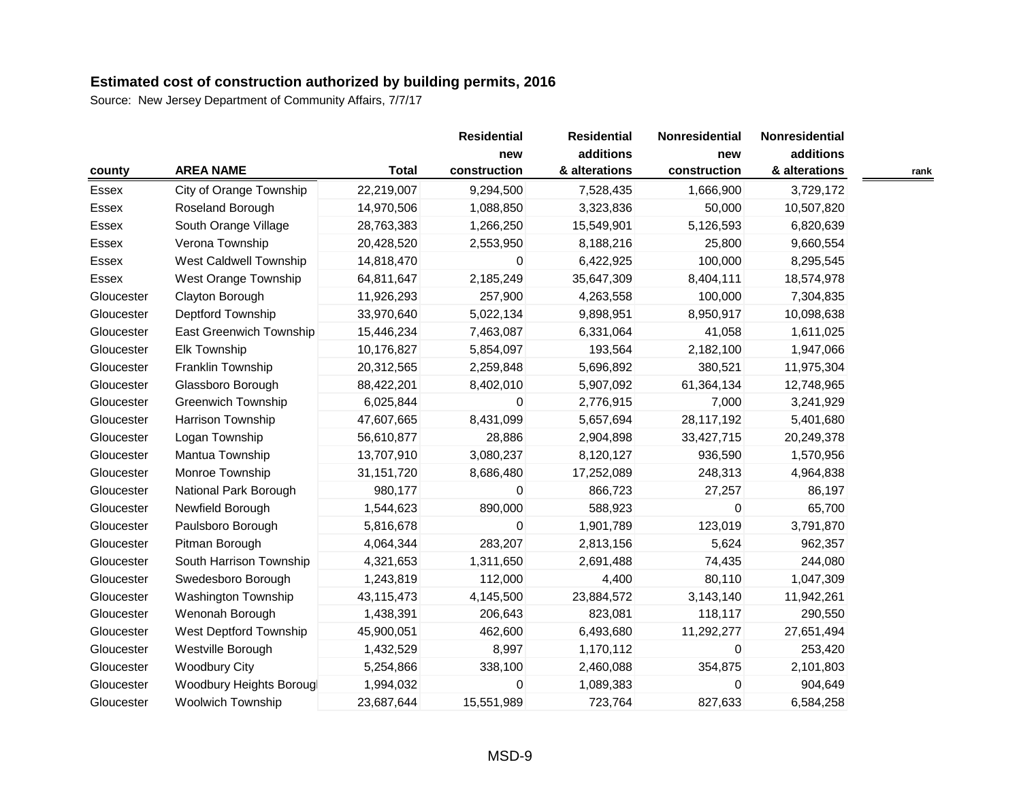|            |                           |              | <b>Residential</b><br>new | <b>Residential</b><br>additions | <b>Nonresidential</b><br>new | <b>Nonresidential</b><br>additions |      |
|------------|---------------------------|--------------|---------------------------|---------------------------------|------------------------------|------------------------------------|------|
| county     | <b>AREA NAME</b>          | <b>Total</b> | construction              | & alterations                   | construction                 | & alterations                      | rank |
| Essex      | City of Orange Township   | 22,219,007   | 9,294,500                 | 7,528,435                       | 1,666,900                    | 3,729,172                          |      |
| Essex      | Roseland Borough          | 14,970,506   | 1,088,850                 | 3,323,836                       | 50,000                       | 10,507,820                         |      |
| Essex      | South Orange Village      | 28,763,383   | 1,266,250                 | 15,549,901                      | 5,126,593                    | 6,820,639                          |      |
| Essex      | Verona Township           | 20,428,520   | 2,553,950                 | 8,188,216                       | 25,800                       | 9,660,554                          |      |
| Essex      | West Caldwell Township    | 14,818,470   | 0                         | 6,422,925                       | 100,000                      | 8,295,545                          |      |
| Essex      | West Orange Township      | 64,811,647   | 2,185,249                 | 35,647,309                      | 8,404,111                    | 18,574,978                         |      |
| Gloucester | Clayton Borough           | 11,926,293   | 257,900                   | 4,263,558                       | 100,000                      | 7,304,835                          |      |
| Gloucester | Deptford Township         | 33,970,640   | 5,022,134                 | 9,898,951                       | 8,950,917                    | 10,098,638                         |      |
| Gloucester | East Greenwich Township   | 15,446,234   | 7,463,087                 | 6,331,064                       | 41,058                       | 1,611,025                          |      |
| Gloucester | <b>Elk Township</b>       | 10,176,827   | 5,854,097                 | 193,564                         | 2,182,100                    | 1,947,066                          |      |
| Gloucester | Franklin Township         | 20,312,565   | 2,259,848                 | 5,696,892                       | 380,521                      | 11,975,304                         |      |
| Gloucester | Glassboro Borough         | 88,422,201   | 8,402,010                 | 5,907,092                       | 61,364,134                   | 12,748,965                         |      |
| Gloucester | <b>Greenwich Township</b> | 6,025,844    | 0                         | 2,776,915                       | 7,000                        | 3,241,929                          |      |
| Gloucester | Harrison Township         | 47,607,665   | 8,431,099                 | 5,657,694                       | 28,117,192                   | 5,401,680                          |      |
| Gloucester | Logan Township            | 56,610,877   | 28,886                    | 2,904,898                       | 33,427,715                   | 20,249,378                         |      |
| Gloucester | Mantua Township           | 13,707,910   | 3,080,237                 | 8,120,127                       | 936,590                      | 1,570,956                          |      |
| Gloucester | Monroe Township           | 31, 151, 720 | 8,686,480                 | 17,252,089                      | 248,313                      | 4,964,838                          |      |
| Gloucester | National Park Borough     | 980,177      | 0                         | 866,723                         | 27,257                       | 86,197                             |      |
| Gloucester | Newfield Borough          | 1,544,623    | 890,000                   | 588,923                         | 0                            | 65,700                             |      |
| Gloucester | Paulsboro Borough         | 5,816,678    | 0                         | 1,901,789                       | 123,019                      | 3,791,870                          |      |
| Gloucester | Pitman Borough            | 4,064,344    | 283,207                   | 2,813,156                       | 5,624                        | 962,357                            |      |
| Gloucester | South Harrison Township   | 4,321,653    | 1,311,650                 | 2,691,488                       | 74,435                       | 244,080                            |      |
| Gloucester | Swedesboro Borough        | 1,243,819    | 112,000                   | 4,400                           | 80,110                       | 1,047,309                          |      |
| Gloucester | Washington Township       | 43,115,473   | 4,145,500                 | 23,884,572                      | 3,143,140                    | 11,942,261                         |      |
| Gloucester | Wenonah Borough           | 1,438,391    | 206,643                   | 823,081                         | 118,117                      | 290,550                            |      |
| Gloucester | West Deptford Township    | 45,900,051   | 462,600                   | 6,493,680                       | 11,292,277                   | 27,651,494                         |      |
| Gloucester | Westville Borough         | 1,432,529    | 8,997                     | 1,170,112                       | 0                            | 253,420                            |      |
| Gloucester | <b>Woodbury City</b>      | 5,254,866    | 338,100                   | 2,460,088                       | 354,875                      | 2,101,803                          |      |
| Gloucester | Woodbury Heights Borougl  | 1,994,032    | 0                         | 1,089,383                       | 0                            | 904,649                            |      |
| Gloucester | <b>Woolwich Township</b>  | 23,687,644   | 15,551,989                | 723,764                         | 827,633                      | 6,584,258                          |      |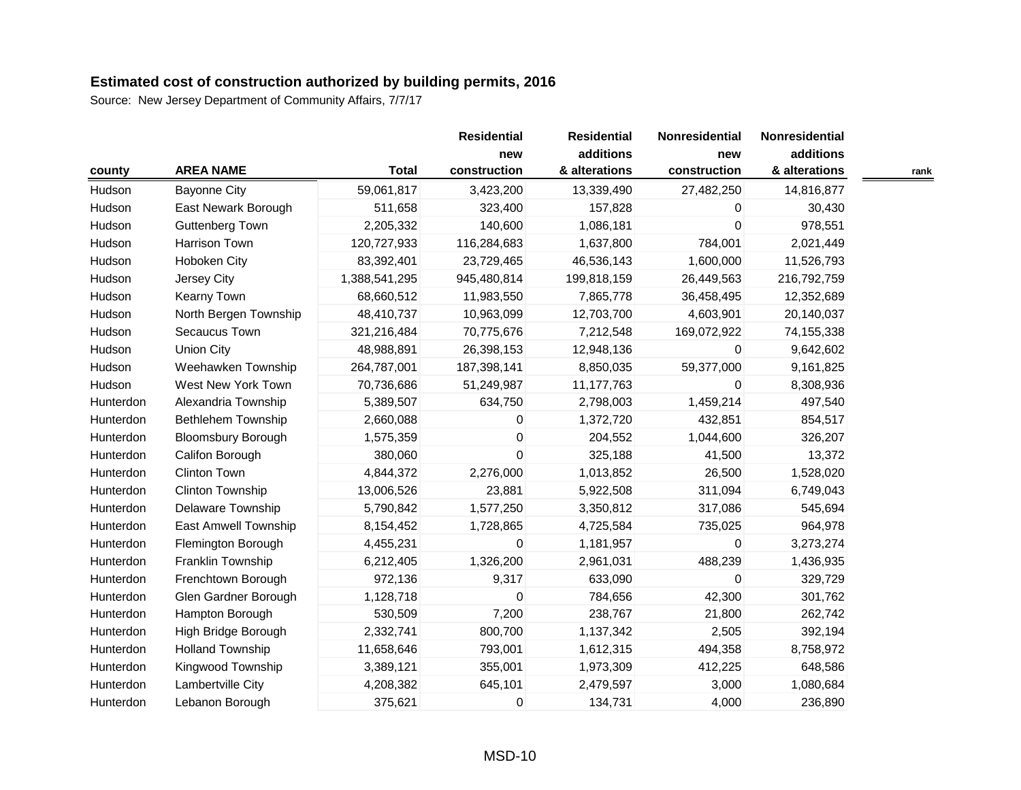|           |                           |               | <b>Residential</b>  | <b>Residential</b>         | Nonresidential      | Nonresidential             |      |
|-----------|---------------------------|---------------|---------------------|----------------------------|---------------------|----------------------------|------|
| county    | <b>AREA NAME</b>          | <b>Total</b>  | new<br>construction | additions<br>& alterations | new<br>construction | additions<br>& alterations | rank |
| Hudson    | <b>Bayonne City</b>       | 59,061,817    | 3,423,200           | 13,339,490                 | 27,482,250          | 14,816,877                 |      |
| Hudson    | East Newark Borough       | 511,658       | 323,400             | 157,828                    | 0                   | 30,430                     |      |
| Hudson    | Guttenberg Town           | 2,205,332     | 140,600             | 1,086,181                  | $\mathbf 0$         | 978,551                    |      |
| Hudson    | Harrison Town             | 120,727,933   | 116,284,683         | 1,637,800                  | 784,001             | 2,021,449                  |      |
| Hudson    | Hoboken City              | 83,392,401    | 23,729,465          | 46,536,143                 | 1,600,000           | 11,526,793                 |      |
| Hudson    | Jersey City               | 1,388,541,295 | 945,480,814         | 199,818,159                | 26,449,563          | 216,792,759                |      |
| Hudson    | Kearny Town               | 68,660,512    | 11,983,550          | 7,865,778                  | 36,458,495          | 12,352,689                 |      |
| Hudson    | North Bergen Township     | 48,410,737    | 10,963,099          | 12,703,700                 | 4,603,901           | 20,140,037                 |      |
| Hudson    | Secaucus Town             | 321,216,484   | 70,775,676          | 7,212,548                  | 169,072,922         | 74,155,338                 |      |
| Hudson    | <b>Union City</b>         | 48,988,891    | 26,398,153          | 12,948,136                 | $\mathbf 0$         | 9,642,602                  |      |
| Hudson    | Weehawken Township        | 264,787,001   | 187,398,141         | 8,850,035                  | 59,377,000          | 9,161,825                  |      |
| Hudson    | West New York Town        | 70,736,686    | 51,249,987          | 11,177,763                 | 0                   | 8,308,936                  |      |
| Hunterdon | Alexandria Township       | 5,389,507     | 634,750             | 2,798,003                  | 1,459,214           | 497,540                    |      |
| Hunterdon | <b>Bethlehem Township</b> | 2,660,088     | 0                   | 1,372,720                  | 432,851             | 854,517                    |      |
| Hunterdon | <b>Bloomsbury Borough</b> | 1,575,359     | 0                   | 204,552                    | 1,044,600           | 326,207                    |      |
| Hunterdon | Califon Borough           | 380,060       | $\mathbf 0$         | 325,188                    | 41,500              | 13,372                     |      |
| Hunterdon | <b>Clinton Town</b>       | 4,844,372     | 2,276,000           | 1,013,852                  | 26,500              | 1,528,020                  |      |
| Hunterdon | Clinton Township          | 13,006,526    | 23,881              | 5,922,508                  | 311,094             | 6,749,043                  |      |
| Hunterdon | <b>Delaware Township</b>  | 5,790,842     | 1,577,250           | 3,350,812                  | 317,086             | 545,694                    |      |
| Hunterdon | East Amwell Township      | 8,154,452     | 1,728,865           | 4,725,584                  | 735,025             | 964,978                    |      |
| Hunterdon | Flemington Borough        | 4,455,231     | 0                   | 1,181,957                  | $\Omega$            | 3,273,274                  |      |
| Hunterdon | Franklin Township         | 6,212,405     | 1,326,200           | 2,961,031                  | 488,239             | 1,436,935                  |      |
| Hunterdon | Frenchtown Borough        | 972,136       | 9,317               | 633,090                    | $\boldsymbol{0}$    | 329,729                    |      |
| Hunterdon | Glen Gardner Borough      | 1,128,718     | $\mathsf 0$         | 784,656                    | 42,300              | 301,762                    |      |
| Hunterdon | Hampton Borough           | 530,509       | 7,200               | 238,767                    | 21,800              | 262,742                    |      |
| Hunterdon | High Bridge Borough       | 2,332,741     | 800,700             | 1,137,342                  | 2,505               | 392,194                    |      |
| Hunterdon | <b>Holland Township</b>   | 11,658,646    | 793,001             | 1,612,315                  | 494,358             | 8,758,972                  |      |
| Hunterdon | Kingwood Township         | 3,389,121     | 355,001             | 1,973,309                  | 412,225             | 648,586                    |      |
| Hunterdon | Lambertville City         | 4,208,382     | 645,101             | 2,479,597                  | 3,000               | 1,080,684                  |      |
| Hunterdon | Lebanon Borough           | 375,621       | 0                   | 134,731                    | 4,000               | 236,890                    |      |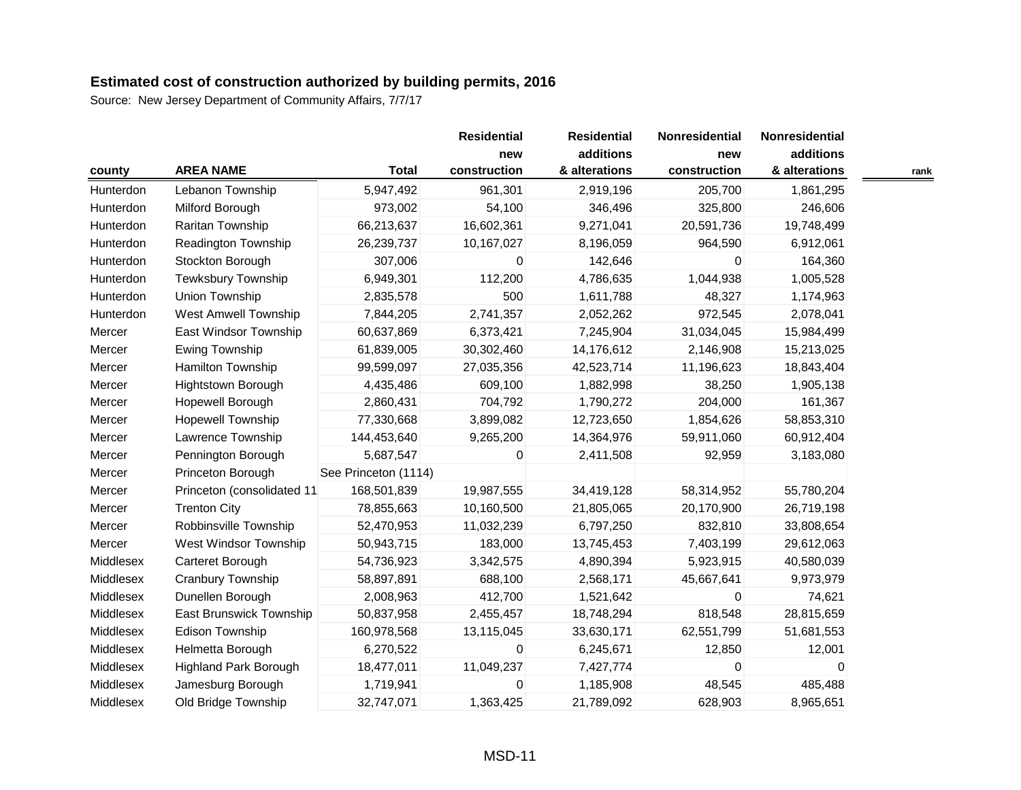|           |                              |                      | <b>Residential</b><br>new | <b>Residential</b><br>additions | Nonresidential<br>new | Nonresidential<br>additions |      |
|-----------|------------------------------|----------------------|---------------------------|---------------------------------|-----------------------|-----------------------------|------|
| county    | <b>AREA NAME</b>             | <b>Total</b>         | construction              | & alterations                   | construction          | & alterations               | rank |
| Hunterdon | Lebanon Township             | 5,947,492            | 961,301                   | 2,919,196                       | 205,700               | 1,861,295                   |      |
| Hunterdon | Milford Borough              | 973,002              | 54,100                    | 346,496                         | 325,800               | 246,606                     |      |
| Hunterdon | Raritan Township             | 66,213,637           | 16,602,361                | 9,271,041                       | 20,591,736            | 19,748,499                  |      |
| Hunterdon | Readington Township          | 26,239,737           | 10,167,027                | 8,196,059                       | 964,590               | 6,912,061                   |      |
| Hunterdon | Stockton Borough             | 307,006              | 0                         | 142,646                         | 0                     | 164,360                     |      |
| Hunterdon | Tewksbury Township           | 6,949,301            | 112,200                   | 4,786,635                       | 1,044,938             | 1,005,528                   |      |
| Hunterdon | Union Township               | 2,835,578            | 500                       | 1,611,788                       | 48,327                | 1,174,963                   |      |
| Hunterdon | West Amwell Township         | 7,844,205            | 2,741,357                 | 2,052,262                       | 972,545               | 2,078,041                   |      |
| Mercer    | East Windsor Township        | 60,637,869           | 6,373,421                 | 7,245,904                       | 31,034,045            | 15,984,499                  |      |
| Mercer    | Ewing Township               | 61,839,005           | 30,302,460                | 14,176,612                      | 2,146,908             | 15,213,025                  |      |
| Mercer    | Hamilton Township            | 99,599,097           | 27,035,356                | 42,523,714                      | 11,196,623            | 18,843,404                  |      |
| Mercer    | Hightstown Borough           | 4,435,486            | 609,100                   | 1,882,998                       | 38,250                | 1,905,138                   |      |
| Mercer    | Hopewell Borough             | 2,860,431            | 704,792                   | 1,790,272                       | 204,000               | 161,367                     |      |
| Mercer    | <b>Hopewell Township</b>     | 77,330,668           | 3,899,082                 | 12,723,650                      | 1,854,626             | 58,853,310                  |      |
| Mercer    | Lawrence Township            | 144,453,640          | 9,265,200                 | 14,364,976                      | 59,911,060            | 60,912,404                  |      |
| Mercer    | Pennington Borough           | 5,687,547            | 0                         | 2,411,508                       | 92,959                | 3,183,080                   |      |
| Mercer    | Princeton Borough            | See Princeton (1114) |                           |                                 |                       |                             |      |
| Mercer    | Princeton (consolidated 11   | 168,501,839          | 19,987,555                | 34,419,128                      | 58,314,952            | 55,780,204                  |      |
| Mercer    | <b>Trenton City</b>          | 78,855,663           | 10,160,500                | 21,805,065                      | 20,170,900            | 26,719,198                  |      |
| Mercer    | Robbinsville Township        | 52,470,953           | 11,032,239                | 6,797,250                       | 832,810               | 33,808,654                  |      |
| Mercer    | West Windsor Township        | 50,943,715           | 183,000                   | 13,745,453                      | 7,403,199             | 29,612,063                  |      |
| Middlesex | Carteret Borough             | 54,736,923           | 3,342,575                 | 4,890,394                       | 5,923,915             | 40,580,039                  |      |
| Middlesex | Cranbury Township            | 58,897,891           | 688,100                   | 2,568,171                       | 45,667,641            | 9,973,979                   |      |
| Middlesex | Dunellen Borough             | 2,008,963            | 412,700                   | 1,521,642                       | 0                     | 74,621                      |      |
| Middlesex | East Brunswick Township      | 50,837,958           | 2,455,457                 | 18,748,294                      | 818,548               | 28,815,659                  |      |
| Middlesex | Edison Township              | 160,978,568          | 13,115,045                | 33,630,171                      | 62,551,799            | 51,681,553                  |      |
| Middlesex | Helmetta Borough             | 6,270,522            | 0                         | 6,245,671                       | 12,850                | 12,001                      |      |
| Middlesex | <b>Highland Park Borough</b> | 18,477,011           | 11,049,237                | 7,427,774                       | $\mathbf 0$           | 0                           |      |
| Middlesex | Jamesburg Borough            | 1,719,941            | 0                         | 1,185,908                       | 48,545                | 485,488                     |      |
| Middlesex | Old Bridge Township          | 32,747,071           | 1,363,425                 | 21,789,092                      | 628,903               | 8,965,651                   |      |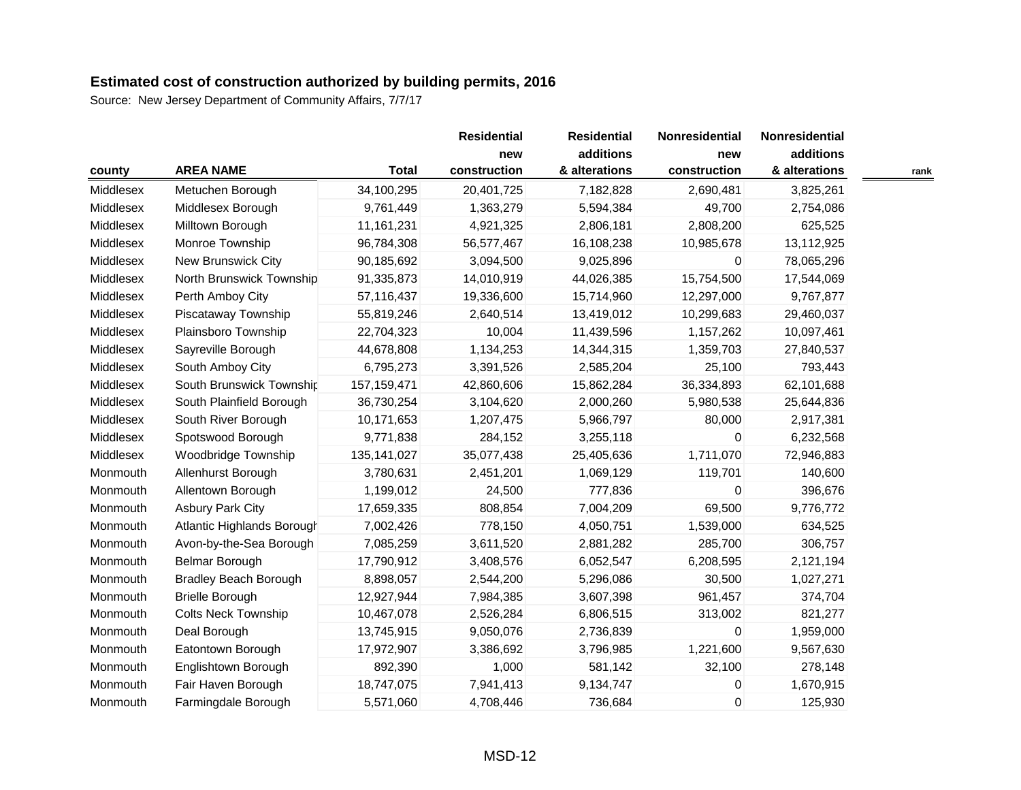|           |                              |               | <b>Residential</b><br>new | <b>Residential</b><br>additions | Nonresidential<br>new | Nonresidential<br>additions |      |
|-----------|------------------------------|---------------|---------------------------|---------------------------------|-----------------------|-----------------------------|------|
| county    | <b>AREA NAME</b>             | <b>Total</b>  | construction              | & alterations                   | construction          | & alterations               | rank |
| Middlesex | Metuchen Borough             | 34,100,295    | 20,401,725                | 7,182,828                       | 2,690,481             | 3,825,261                   |      |
| Middlesex | Middlesex Borough            | 9,761,449     | 1,363,279                 | 5,594,384                       | 49,700                | 2,754,086                   |      |
| Middlesex | Milltown Borough             | 11, 161, 231  | 4,921,325                 | 2,806,181                       | 2,808,200             | 625,525                     |      |
| Middlesex | Monroe Township              | 96,784,308    | 56,577,467                | 16,108,238                      | 10,985,678            | 13,112,925                  |      |
| Middlesex | New Brunswick City           | 90,185,692    | 3,094,500                 | 9,025,896                       | 0                     | 78,065,296                  |      |
| Middlesex | North Brunswick Township     | 91,335,873    | 14,010,919                | 44,026,385                      | 15,754,500            | 17,544,069                  |      |
| Middlesex | Perth Amboy City             | 57,116,437    | 19,336,600                | 15,714,960                      | 12,297,000            | 9,767,877                   |      |
| Middlesex | Piscataway Township          | 55,819,246    | 2,640,514                 | 13,419,012                      | 10,299,683            | 29,460,037                  |      |
| Middlesex | Plainsboro Township          | 22,704,323    | 10,004                    | 11,439,596                      | 1,157,262             | 10,097,461                  |      |
| Middlesex | Sayreville Borough           | 44,678,808    | 1,134,253                 | 14,344,315                      | 1,359,703             | 27,840,537                  |      |
| Middlesex | South Amboy City             | 6,795,273     | 3,391,526                 | 2,585,204                       | 25,100                | 793,443                     |      |
| Middlesex | South Brunswick Township     | 157, 159, 471 | 42,860,606                | 15,862,284                      | 36,334,893            | 62,101,688                  |      |
| Middlesex | South Plainfield Borough     | 36,730,254    | 3,104,620                 | 2,000,260                       | 5,980,538             | 25,644,836                  |      |
| Middlesex | South River Borough          | 10,171,653    | 1,207,475                 | 5,966,797                       | 80,000                | 2,917,381                   |      |
| Middlesex | Spotswood Borough            | 9,771,838     | 284,152                   | 3,255,118                       | 0                     | 6,232,568                   |      |
| Middlesex | Woodbridge Township          | 135, 141, 027 | 35,077,438                | 25,405,636                      | 1,711,070             | 72,946,883                  |      |
| Monmouth  | Allenhurst Borough           | 3,780,631     | 2,451,201                 | 1,069,129                       | 119,701               | 140,600                     |      |
| Monmouth  | Allentown Borough            | 1,199,012     | 24,500                    | 777,836                         | $\mathbf 0$           | 396,676                     |      |
| Monmouth  | <b>Asbury Park City</b>      | 17,659,335    | 808,854                   | 7,004,209                       | 69,500                | 9,776,772                   |      |
| Monmouth  | Atlantic Highlands Borough   | 7,002,426     | 778,150                   | 4,050,751                       | 1,539,000             | 634,525                     |      |
| Monmouth  | Avon-by-the-Sea Borough      | 7,085,259     | 3,611,520                 | 2,881,282                       | 285,700               | 306,757                     |      |
| Monmouth  | Belmar Borough               | 17,790,912    | 3,408,576                 | 6,052,547                       | 6,208,595             | 2,121,194                   |      |
| Monmouth  | <b>Bradley Beach Borough</b> | 8,898,057     | 2,544,200                 | 5,296,086                       | 30,500                | 1,027,271                   |      |
| Monmouth  | <b>Brielle Borough</b>       | 12,927,944    | 7,984,385                 | 3,607,398                       | 961,457               | 374,704                     |      |
| Monmouth  | <b>Colts Neck Township</b>   | 10,467,078    | 2,526,284                 | 6,806,515                       | 313,002               | 821,277                     |      |
| Monmouth  | Deal Borough                 | 13,745,915    | 9,050,076                 | 2,736,839                       | $\Omega$              | 1,959,000                   |      |
| Monmouth  | Eatontown Borough            | 17,972,907    | 3,386,692                 | 3,796,985                       | 1,221,600             | 9,567,630                   |      |
| Monmouth  | Englishtown Borough          | 892,390       | 1,000                     | 581,142                         | 32,100                | 278,148                     |      |
| Monmouth  | Fair Haven Borough           | 18,747,075    | 7,941,413                 | 9,134,747                       | 0                     | 1,670,915                   |      |
| Monmouth  | Farmingdale Borough          | 5,571,060     | 4,708,446                 | 736,684                         | 0                     | 125,930                     |      |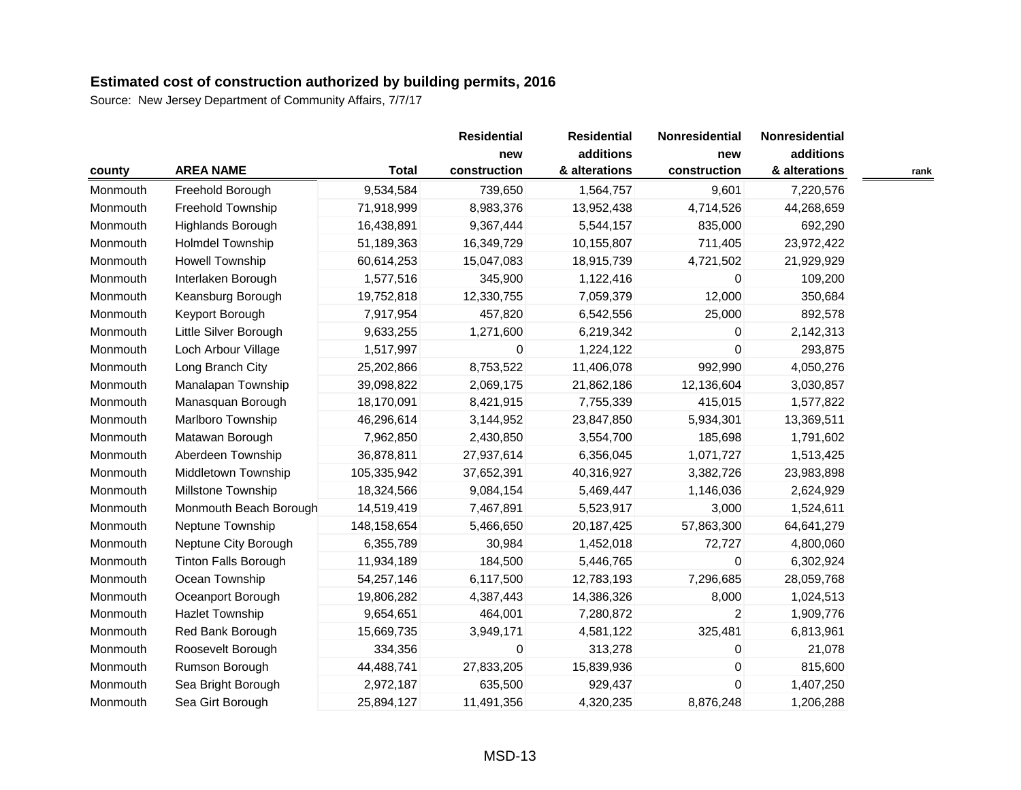|          |                             |              | <b>Residential</b> | <b>Residential</b> | Nonresidential | Nonresidential |      |
|----------|-----------------------------|--------------|--------------------|--------------------|----------------|----------------|------|
|          |                             | new          | additions          | new                | additions      |                |      |
| county   | <b>AREA NAME</b>            | <b>Total</b> | construction       | & alterations      | construction   | & alterations  | rank |
| Monmouth | Freehold Borough            | 9,534,584    | 739,650            | 1,564,757          | 9,601          | 7,220,576      |      |
| Monmouth | Freehold Township           | 71,918,999   | 8,983,376          | 13,952,438         | 4,714,526      | 44,268,659     |      |
| Monmouth | Highlands Borough           | 16,438,891   | 9,367,444          | 5,544,157          | 835,000        | 692,290        |      |
| Monmouth | <b>Holmdel Township</b>     | 51,189,363   | 16,349,729         | 10,155,807         | 711,405        | 23,972,422     |      |
| Monmouth | <b>Howell Township</b>      | 60,614,253   | 15,047,083         | 18,915,739         | 4,721,502      | 21,929,929     |      |
| Monmouth | Interlaken Borough          | 1,577,516    | 345,900            | 1,122,416          | $\Omega$       | 109,200        |      |
| Monmouth | Keansburg Borough           | 19,752,818   | 12,330,755         | 7,059,379          | 12,000         | 350,684        |      |
| Monmouth | Keyport Borough             | 7,917,954    | 457,820            | 6,542,556          | 25,000         | 892,578        |      |
| Monmouth | Little Silver Borough       | 9,633,255    | 1,271,600          | 6,219,342          | 0              | 2,142,313      |      |
| Monmouth | Loch Arbour Village         | 1,517,997    | 0                  | 1,224,122          | $\Omega$       | 293,875        |      |
| Monmouth | Long Branch City            | 25,202,866   | 8,753,522          | 11,406,078         | 992,990        | 4,050,276      |      |
| Monmouth | Manalapan Township          | 39,098,822   | 2,069,175          | 21,862,186         | 12,136,604     | 3,030,857      |      |
| Monmouth | Manasquan Borough           | 18,170,091   | 8,421,915          | 7,755,339          | 415,015        | 1,577,822      |      |
| Monmouth | Marlboro Township           | 46,296,614   | 3,144,952          | 23,847,850         | 5,934,301      | 13,369,511     |      |
| Monmouth | Matawan Borough             | 7,962,850    | 2,430,850          | 3,554,700          | 185,698        | 1,791,602      |      |
| Monmouth | Aberdeen Township           | 36,878,811   | 27,937,614         | 6,356,045          | 1,071,727      | 1,513,425      |      |
| Monmouth | Middletown Township         | 105,335,942  | 37,652,391         | 40,316,927         | 3,382,726      | 23,983,898     |      |
| Monmouth | Millstone Township          | 18,324,566   | 9,084,154          | 5,469,447          | 1,146,036      | 2,624,929      |      |
| Monmouth | Monmouth Beach Borough      | 14,519,419   | 7,467,891          | 5,523,917          | 3,000          | 1,524,611      |      |
| Monmouth | Neptune Township            | 148,158,654  | 5,466,650          | 20,187,425         | 57,863,300     | 64,641,279     |      |
| Monmouth | Neptune City Borough        | 6,355,789    | 30,984             | 1,452,018          | 72,727         | 4,800,060      |      |
| Monmouth | <b>Tinton Falls Borough</b> | 11,934,189   | 184,500            | 5,446,765          | $\mathbf 0$    | 6,302,924      |      |
| Monmouth | Ocean Township              | 54,257,146   | 6,117,500          | 12,783,193         | 7,296,685      | 28,059,768     |      |
| Monmouth | Oceanport Borough           | 19,806,282   | 4,387,443          | 14,386,326         | 8,000          | 1,024,513      |      |
| Monmouth | Hazlet Township             | 9,654,651    | 464,001            | 7,280,872          | $\overline{2}$ | 1,909,776      |      |
| Monmouth | Red Bank Borough            | 15,669,735   | 3,949,171          | 4,581,122          | 325,481        | 6,813,961      |      |
| Monmouth | Roosevelt Borough           | 334,356      | 0                  | 313,278            | 0              | 21,078         |      |
| Monmouth | Rumson Borough              | 44,488,741   | 27,833,205         | 15,839,936         | $\mathbf 0$    | 815,600        |      |
| Monmouth | Sea Bright Borough          | 2,972,187    | 635,500            | 929,437            | $\Omega$       | 1,407,250      |      |
| Monmouth | Sea Girt Borough            | 25,894,127   | 11,491,356         | 4,320,235          | 8,876,248      | 1,206,288      |      |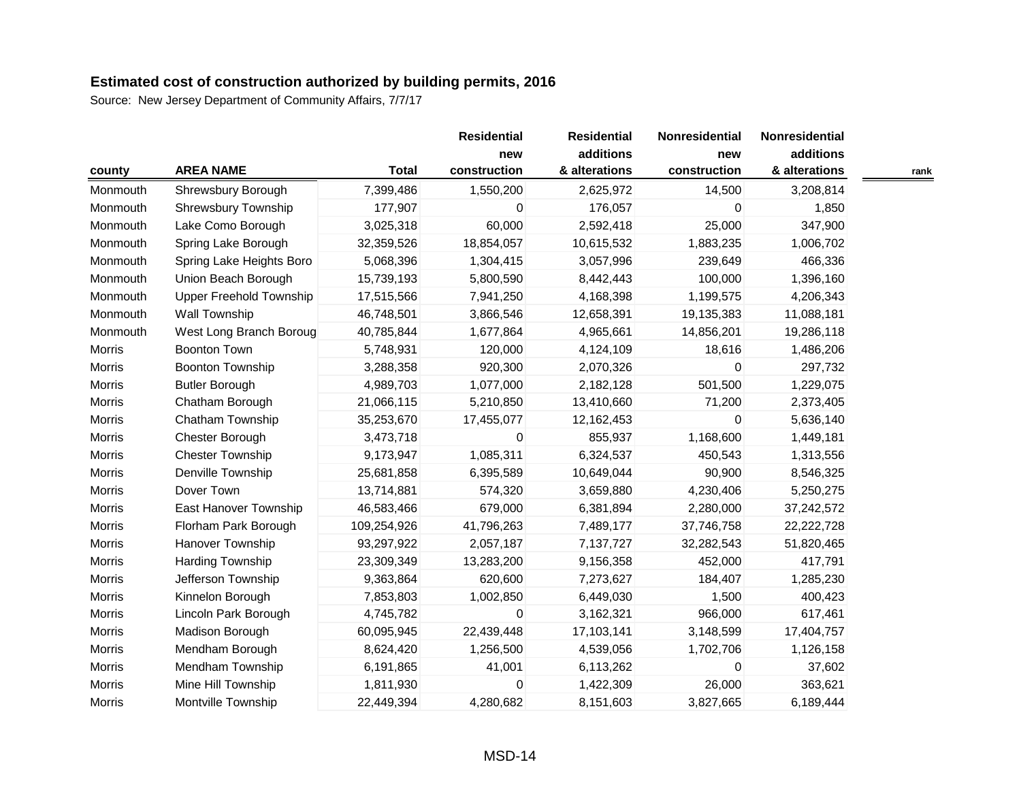| county        |                                |              | <b>Residential</b><br>new | <b>Residential</b><br>additions | Nonresidential<br>new | Nonresidential<br>additions |      |
|---------------|--------------------------------|--------------|---------------------------|---------------------------------|-----------------------|-----------------------------|------|
|               | <b>AREA NAME</b>               | <b>Total</b> | construction              | & alterations                   | construction          | & alterations               | rank |
| Monmouth      | Shrewsbury Borough             | 7,399,486    | 1,550,200                 | 2,625,972                       | 14,500                | 3,208,814                   |      |
| Monmouth      | Shrewsbury Township            | 177,907      | 0                         | 176,057                         | 0                     | 1,850                       |      |
| Monmouth      | Lake Como Borough              | 3,025,318    | 60,000                    | 2,592,418                       | 25,000                | 347,900                     |      |
| Monmouth      | Spring Lake Borough            | 32,359,526   | 18,854,057                | 10,615,532                      | 1,883,235             | 1,006,702                   |      |
| Monmouth      | Spring Lake Heights Boro       | 5,068,396    | 1,304,415                 | 3,057,996                       | 239,649               | 466,336                     |      |
| Monmouth      | Union Beach Borough            | 15,739,193   | 5,800,590                 | 8,442,443                       | 100,000               | 1,396,160                   |      |
| Monmouth      | <b>Upper Freehold Township</b> | 17,515,566   | 7,941,250                 | 4,168,398                       | 1,199,575             | 4,206,343                   |      |
| Monmouth      | <b>Wall Township</b>           | 46,748,501   | 3,866,546                 | 12,658,391                      | 19,135,383            | 11,088,181                  |      |
| Monmouth      | West Long Branch Boroug        | 40,785,844   | 1,677,864                 | 4,965,661                       | 14,856,201            | 19,286,118                  |      |
| <b>Morris</b> | <b>Boonton Town</b>            | 5,748,931    | 120,000                   | 4,124,109                       | 18,616                | 1,486,206                   |      |
| Morris        | Boonton Township               | 3,288,358    | 920,300                   | 2,070,326                       | $\mathbf 0$           | 297,732                     |      |
| Morris        | <b>Butler Borough</b>          | 4,989,703    | 1,077,000                 | 2,182,128                       | 501,500               | 1,229,075                   |      |
| Morris        | Chatham Borough                | 21,066,115   | 5,210,850                 | 13,410,660                      | 71,200                | 2,373,405                   |      |
| Morris        | Chatham Township               | 35,253,670   | 17,455,077                | 12,162,453                      | $\Omega$              | 5,636,140                   |      |
| Morris        | Chester Borough                | 3,473,718    | 0                         | 855,937                         | 1,168,600             | 1,449,181                   |      |
| Morris        | <b>Chester Township</b>        | 9,173,947    | 1,085,311                 | 6,324,537                       | 450,543               | 1,313,556                   |      |
| Morris        | Denville Township              | 25,681,858   | 6,395,589                 | 10,649,044                      | 90,900                | 8,546,325                   |      |
| Morris        | Dover Town                     | 13,714,881   | 574,320                   | 3,659,880                       | 4,230,406             | 5,250,275                   |      |
| Morris        | East Hanover Township          | 46,583,466   | 679,000                   | 6,381,894                       | 2,280,000             | 37,242,572                  |      |
| Morris        | Florham Park Borough           | 109,254,926  | 41,796,263                | 7,489,177                       | 37,746,758            | 22,222,728                  |      |
| Morris        | Hanover Township               | 93,297,922   | 2,057,187                 | 7,137,727                       | 32,282,543            | 51,820,465                  |      |
| Morris        | Harding Township               | 23,309,349   | 13,283,200                | 9,156,358                       | 452,000               | 417,791                     |      |
| Morris        | Jefferson Township             | 9,363,864    | 620,600                   | 7,273,627                       | 184,407               | 1,285,230                   |      |
| Morris        | Kinnelon Borough               | 7,853,803    | 1,002,850                 | 6,449,030                       | 1,500                 | 400,423                     |      |
| Morris        | Lincoln Park Borough           | 4,745,782    | 0                         | 3,162,321                       | 966,000               | 617,461                     |      |
| Morris        | Madison Borough                | 60,095,945   | 22,439,448                | 17,103,141                      | 3,148,599             | 17,404,757                  |      |
| Morris        | Mendham Borough                | 8,624,420    | 1,256,500                 | 4,539,056                       | 1,702,706             | 1,126,158                   |      |
| Morris        | <b>Mendham Township</b>        | 6,191,865    | 41,001                    | 6,113,262                       | $\mathbf 0$           | 37,602                      |      |
| Morris        | Mine Hill Township             | 1,811,930    | 0                         | 1,422,309                       | 26,000                | 363,621                     |      |
| Morris        | Montville Township             | 22,449,394   | 4,280,682                 | 8,151,603                       | 3,827,665             | 6,189,444                   |      |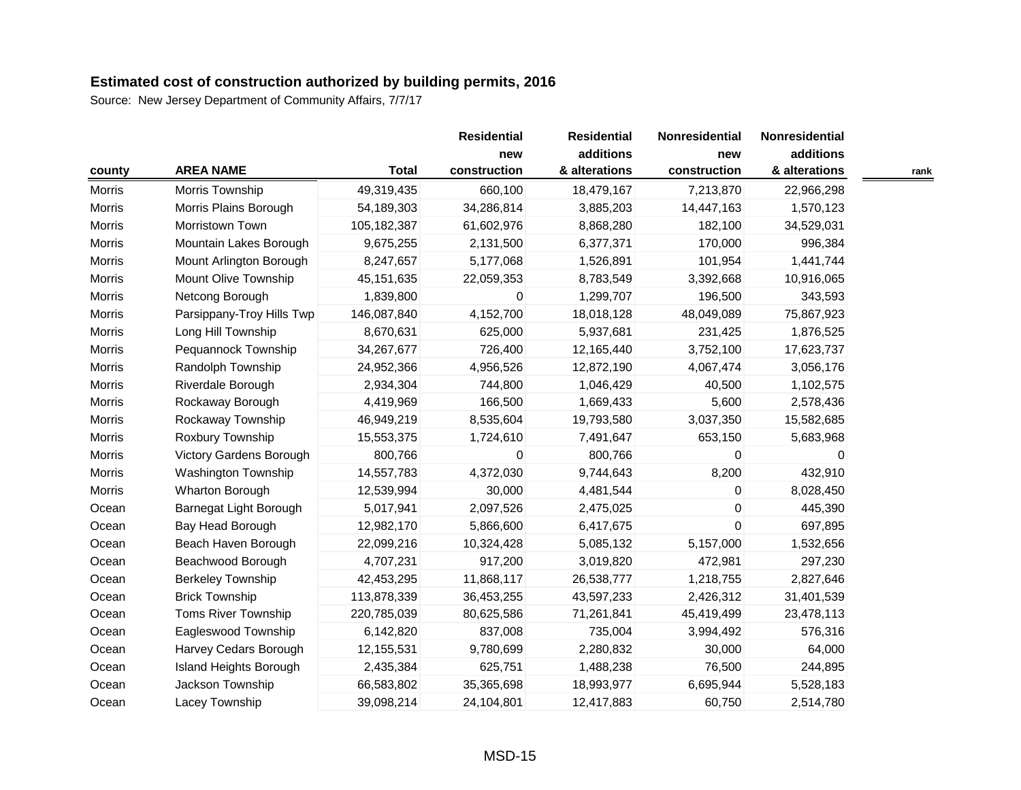|        |                           |              | <b>Residential</b> | <b>Residential</b> | Nonresidential | Nonresidential |      |
|--------|---------------------------|--------------|--------------------|--------------------|----------------|----------------|------|
|        |                           |              | new                | additions          | new            | additions      |      |
| county | <b>AREA NAME</b>          | <b>Total</b> | construction       | & alterations      | construction   | & alterations  | rank |
| Morris | Morris Township           | 49,319,435   | 660,100            | 18,479,167         | 7,213,870      | 22,966,298     |      |
| Morris | Morris Plains Borough     | 54,189,303   | 34,286,814         | 3,885,203          | 14,447,163     | 1,570,123      |      |
| Morris | Morristown Town           | 105,182,387  | 61,602,976         | 8,868,280          | 182,100        | 34,529,031     |      |
| Morris | Mountain Lakes Borough    | 9,675,255    | 2,131,500          | 6,377,371          | 170,000        | 996,384        |      |
| Morris | Mount Arlington Borough   | 8,247,657    | 5,177,068          | 1,526,891          | 101,954        | 1,441,744      |      |
| Morris | Mount Olive Township      | 45, 151, 635 | 22,059,353         | 8,783,549          | 3,392,668      | 10,916,065     |      |
| Morris | Netcong Borough           | 1,839,800    | 0                  | 1,299,707          | 196,500        | 343,593        |      |
| Morris | Parsippany-Troy Hills Twp | 146,087,840  | 4,152,700          | 18,018,128         | 48,049,089     | 75,867,923     |      |
| Morris | Long Hill Township        | 8,670,631    | 625,000            | 5,937,681          | 231,425        | 1,876,525      |      |
| Morris | Pequannock Township       | 34,267,677   | 726,400            | 12,165,440         | 3,752,100      | 17,623,737     |      |
| Morris | Randolph Township         | 24,952,366   | 4,956,526          | 12,872,190         | 4,067,474      | 3,056,176      |      |
| Morris | Riverdale Borough         | 2,934,304    | 744,800            | 1,046,429          | 40,500         | 1,102,575      |      |
| Morris | Rockaway Borough          | 4,419,969    | 166,500            | 1,669,433          | 5,600          | 2,578,436      |      |
| Morris | Rockaway Township         | 46,949,219   | 8,535,604          | 19,793,580         | 3,037,350      | 15,582,685     |      |
| Morris | Roxbury Township          | 15,553,375   | 1,724,610          | 7,491,647          | 653,150        | 5,683,968      |      |
| Morris | Victory Gardens Borough   | 800,766      | 0                  | 800,766            | 0              | 0              |      |
| Morris | Washington Township       | 14,557,783   | 4,372,030          | 9,744,643          | 8,200          | 432,910        |      |
| Morris | Wharton Borough           | 12,539,994   | 30,000             | 4,481,544          | 0              | 8,028,450      |      |
| Ocean  | Barnegat Light Borough    | 5,017,941    | 2,097,526          | 2,475,025          | 0              | 445,390        |      |
| Ocean  | Bay Head Borough          | 12,982,170   | 5,866,600          | 6,417,675          | $\mathbf 0$    | 697,895        |      |
| Ocean  | Beach Haven Borough       | 22,099,216   | 10,324,428         | 5,085,132          | 5,157,000      | 1,532,656      |      |
| Ocean  | Beachwood Borough         | 4,707,231    | 917,200            | 3,019,820          | 472,981        | 297,230        |      |
| Ocean  | <b>Berkeley Township</b>  | 42,453,295   | 11,868,117         | 26,538,777         | 1,218,755      | 2,827,646      |      |
| Ocean  | <b>Brick Township</b>     | 113,878,339  | 36,453,255         | 43,597,233         | 2,426,312      | 31,401,539     |      |
| Ocean  | Toms River Township       | 220,785,039  | 80,625,586         | 71,261,841         | 45,419,499     | 23,478,113     |      |
| Ocean  | Eagleswood Township       | 6,142,820    | 837,008            | 735,004            | 3,994,492      | 576,316        |      |
| Ocean  | Harvey Cedars Borough     | 12,155,531   | 9,780,699          | 2,280,832          | 30,000         | 64,000         |      |
| Ocean  | Island Heights Borough    | 2,435,384    | 625,751            | 1,488,238          | 76,500         | 244,895        |      |
| Ocean  | Jackson Township          | 66,583,802   | 35,365,698         | 18,993,977         | 6,695,944      | 5,528,183      |      |
| Ocean  | Lacey Township            | 39,098,214   | 24,104,801         | 12,417,883         | 60,750         | 2,514,780      |      |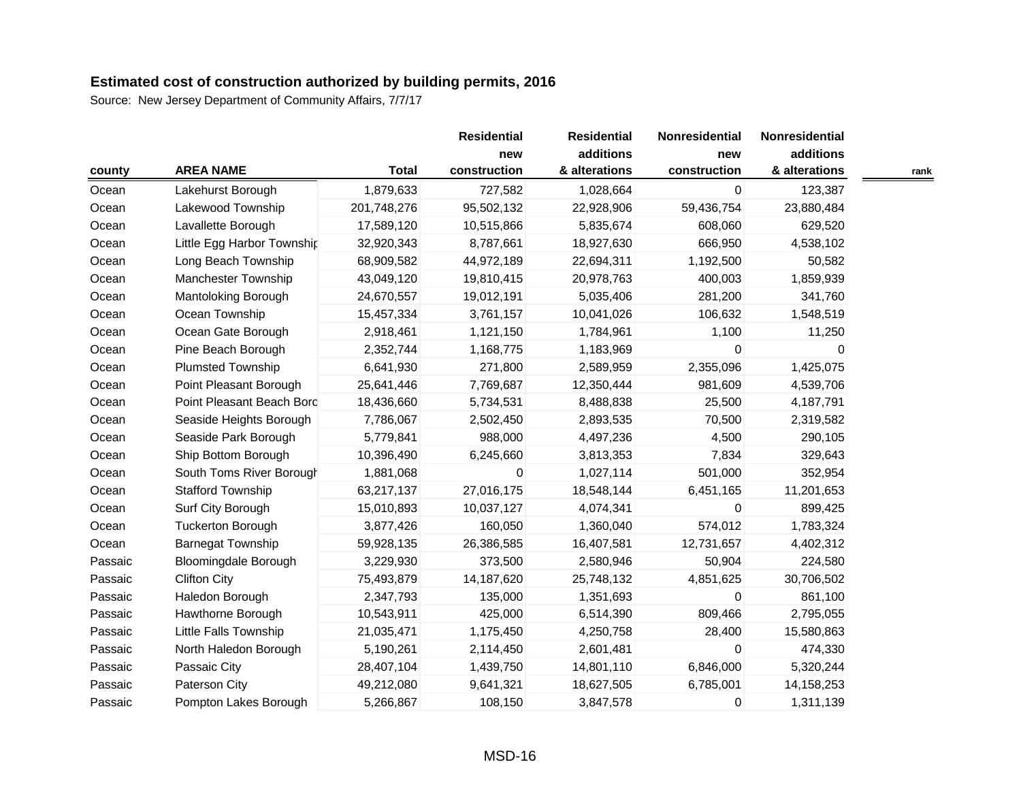|         |                             |              | <b>Residential</b> | <b>Residential</b>         | Nonresidential | Nonresidential             |      |
|---------|-----------------------------|--------------|--------------------|----------------------------|----------------|----------------------------|------|
|         | <b>AREA NAME</b>            | <b>Total</b> |                    | additions<br>& alterations | new            | additions<br>& alterations |      |
| county  |                             |              | construction       |                            | construction   |                            | rank |
| Ocean   | Lakehurst Borough           | 1,879,633    | 727,582            | 1,028,664                  | 0              | 123,387                    |      |
| Ocean   | Lakewood Township           | 201,748,276  | 95,502,132         | 22,928,906                 | 59,436,754     | 23,880,484                 |      |
| Ocean   | Lavallette Borough          | 17,589,120   | 10,515,866         | 5,835,674                  | 608,060        | 629,520                    |      |
| Ocean   | Little Egg Harbor Township  | 32,920,343   | 8,787,661          | 18,927,630                 | 666,950        | 4,538,102                  |      |
| Ocean   | Long Beach Township         | 68,909,582   | 44,972,189         | 22,694,311                 | 1,192,500      | 50,582                     |      |
| Ocean   | Manchester Township         | 43,049,120   | 19,810,415         | 20,978,763                 | 400,003        | 1,859,939                  |      |
| Ocean   | <b>Mantoloking Borough</b>  | 24,670,557   | 19,012,191         | 5,035,406                  | 281,200        | 341,760                    |      |
| Ocean   | Ocean Township              | 15,457,334   | 3,761,157          | 10,041,026                 | 106,632        | 1,548,519                  |      |
| Ocean   | Ocean Gate Borough          | 2,918,461    | 1,121,150          | 1,784,961                  | 1,100          | 11,250                     |      |
| Ocean   | Pine Beach Borough          | 2,352,744    | 1,168,775          | 1,183,969                  | $\Omega$       | $\Omega$                   |      |
| Ocean   | <b>Plumsted Township</b>    | 6,641,930    | 271,800            | 2,589,959                  | 2,355,096      | 1,425,075                  |      |
| Ocean   | Point Pleasant Borough      | 25,641,446   | 7,769,687          | 12,350,444                 | 981,609        | 4,539,706                  |      |
| Ocean   | Point Pleasant Beach Bord   | 18,436,660   | 5,734,531          | 8,488,838                  | 25,500         | 4,187,791                  |      |
| Ocean   | Seaside Heights Borough     | 7,786,067    | 2,502,450          | 2,893,535                  | 70,500         | 2,319,582                  |      |
| Ocean   | Seaside Park Borough        | 5,779,841    | 988,000            | 4,497,236                  | 4,500          | 290,105                    |      |
| Ocean   | Ship Bottom Borough         | 10,396,490   | 6,245,660          | 3,813,353                  | 7,834          | 329,643                    |      |
| Ocean   | South Toms River Borough    | 1,881,068    | 0                  | 1,027,114                  | 501,000        | 352,954                    |      |
| Ocean   | <b>Stafford Township</b>    | 63,217,137   | 27,016,175         | 18,548,144                 | 6,451,165      | 11,201,653                 |      |
| Ocean   | Surf City Borough           | 15,010,893   | 10,037,127         | 4,074,341                  | $\mathbf 0$    | 899,425                    |      |
| Ocean   | <b>Tuckerton Borough</b>    | 3,877,426    | 160,050            | 1,360,040                  | 574,012        | 1,783,324                  |      |
| Ocean   | <b>Barnegat Township</b>    | 59,928,135   | 26,386,585         | 16,407,581                 | 12,731,657     | 4,402,312                  |      |
| Passaic | <b>Bloomingdale Borough</b> | 3,229,930    | 373,500            | 2,580,946                  | 50,904         | 224,580                    |      |
| Passaic | <b>Clifton City</b>         | 75,493,879   | 14,187,620         | 25,748,132                 | 4,851,625      | 30,706,502                 |      |
| Passaic | Haledon Borough             | 2,347,793    | 135,000            | 1,351,693                  | $\mathbf 0$    | 861,100                    |      |
| Passaic | Hawthorne Borough           | 10,543,911   | 425,000            | 6,514,390                  | 809,466        | 2,795,055                  |      |
| Passaic | Little Falls Township       | 21,035,471   | 1,175,450          | 4,250,758                  | 28,400         | 15,580,863                 |      |
| Passaic | North Haledon Borough       | 5,190,261    | 2,114,450          | 2,601,481                  | 0              | 474,330                    |      |
| Passaic | Passaic City                | 28,407,104   | 1,439,750          | 14,801,110                 | 6,846,000      | 5,320,244                  |      |
| Passaic | Paterson City               | 49,212,080   | 9,641,321          | 18,627,505                 | 6,785,001      | 14,158,253                 |      |
| Passaic | Pompton Lakes Borough       | 5,266,867    | 108,150            | 3,847,578                  | $\mathbf 0$    | 1,311,139                  |      |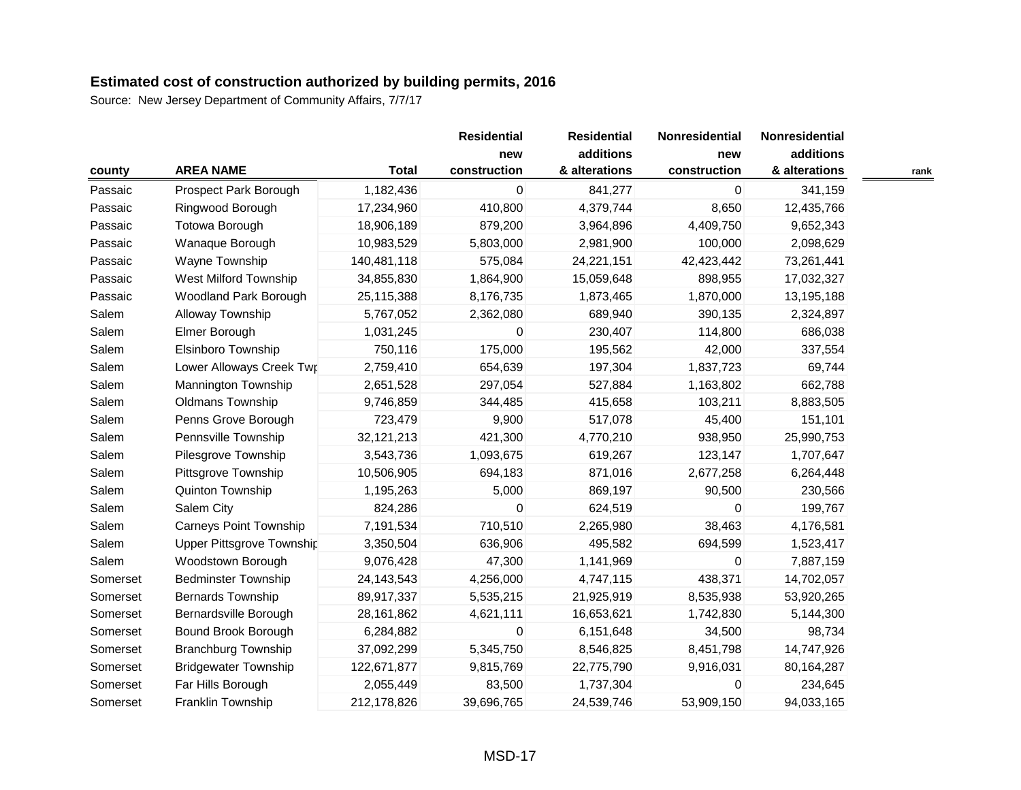|          |                               |              | <b>Residential</b>  | <b>Residential</b>         | Nonresidential      | Nonresidential             |      |
|----------|-------------------------------|--------------|---------------------|----------------------------|---------------------|----------------------------|------|
| county   | <b>AREA NAME</b>              | <b>Total</b> | new<br>construction | additions<br>& alterations | new<br>construction | additions<br>& alterations | rank |
| Passaic  | Prospect Park Borough         | 1,182,436    | 0                   | 841,277                    | $\mathbf 0$         | 341,159                    |      |
| Passaic  | Ringwood Borough              | 17,234,960   | 410,800             | 4,379,744                  | 8,650               | 12,435,766                 |      |
| Passaic  | <b>Totowa Borough</b>         | 18,906,189   | 879,200             | 3,964,896                  | 4,409,750           | 9,652,343                  |      |
| Passaic  | Wanaque Borough               | 10,983,529   | 5,803,000           | 2,981,900                  | 100,000             | 2,098,629                  |      |
| Passaic  | Wayne Township                | 140,481,118  | 575,084             | 24,221,151                 | 42,423,442          | 73,261,441                 |      |
| Passaic  | West Milford Township         | 34,855,830   | 1,864,900           | 15,059,648                 | 898,955             | 17,032,327                 |      |
| Passaic  | Woodland Park Borough         | 25,115,388   | 8,176,735           | 1,873,465                  | 1,870,000           | 13,195,188                 |      |
| Salem    | Alloway Township              | 5,767,052    | 2,362,080           | 689,940                    | 390,135             | 2,324,897                  |      |
| Salem    | Elmer Borough                 | 1,031,245    | 0                   | 230,407                    | 114,800             | 686,038                    |      |
| Salem    | <b>Elsinboro Township</b>     | 750,116      | 175,000             | 195,562                    | 42,000              | 337,554                    |      |
| Salem    | Lower Alloways Creek Twr      | 2,759,410    | 654,639             | 197,304                    | 1,837,723           | 69,744                     |      |
| Salem    | <b>Mannington Township</b>    | 2,651,528    | 297,054             | 527,884                    | 1,163,802           | 662,788                    |      |
| Salem    | Oldmans Township              | 9,746,859    | 344,485             | 415,658                    | 103,211             | 8,883,505                  |      |
| Salem    | Penns Grove Borough           | 723,479      | 9,900               | 517,078                    | 45,400              | 151,101                    |      |
| Salem    | Pennsville Township           | 32,121,213   | 421,300             | 4,770,210                  | 938,950             | 25,990,753                 |      |
| Salem    | Pilesgrove Township           | 3,543,736    | 1,093,675           | 619,267                    | 123,147             | 1,707,647                  |      |
| Salem    | Pittsgrove Township           | 10,506,905   | 694,183             | 871,016                    | 2,677,258           | 6,264,448                  |      |
| Salem    | Quinton Township              | 1,195,263    | 5,000               | 869,197                    | 90,500              | 230,566                    |      |
| Salem    | Salem City                    | 824,286      | 0                   | 624,519                    | 0                   | 199,767                    |      |
| Salem    | <b>Carneys Point Township</b> | 7,191,534    | 710,510             | 2,265,980                  | 38,463              | 4,176,581                  |      |
| Salem    | Upper Pittsgrove Township     | 3,350,504    | 636,906             | 495,582                    | 694,599             | 1,523,417                  |      |
| Salem    | Woodstown Borough             | 9,076,428    | 47,300              | 1,141,969                  | 0                   | 7,887,159                  |      |
| Somerset | <b>Bedminster Township</b>    | 24,143,543   | 4,256,000           | 4,747,115                  | 438,371             | 14,702,057                 |      |
| Somerset | <b>Bernards Township</b>      | 89,917,337   | 5,535,215           | 21,925,919                 | 8,535,938           | 53,920,265                 |      |
| Somerset | Bernardsville Borough         | 28,161,862   | 4,621,111           | 16,653,621                 | 1,742,830           | 5,144,300                  |      |
| Somerset | Bound Brook Borough           | 6,284,882    | $\mathbf 0$         | 6,151,648                  | 34,500              | 98,734                     |      |
| Somerset | <b>Branchburg Township</b>    | 37,092,299   | 5,345,750           | 8,546,825                  | 8,451,798           | 14,747,926                 |      |
| Somerset | <b>Bridgewater Township</b>   | 122,671,877  | 9,815,769           | 22,775,790                 | 9,916,031           | 80,164,287                 |      |
| Somerset | Far Hills Borough             | 2,055,449    | 83,500              | 1,737,304                  | 0                   | 234,645                    |      |
| Somerset | Franklin Township             | 212,178,826  | 39,696,765          | 24,539,746                 | 53,909,150          | 94,033,165                 |      |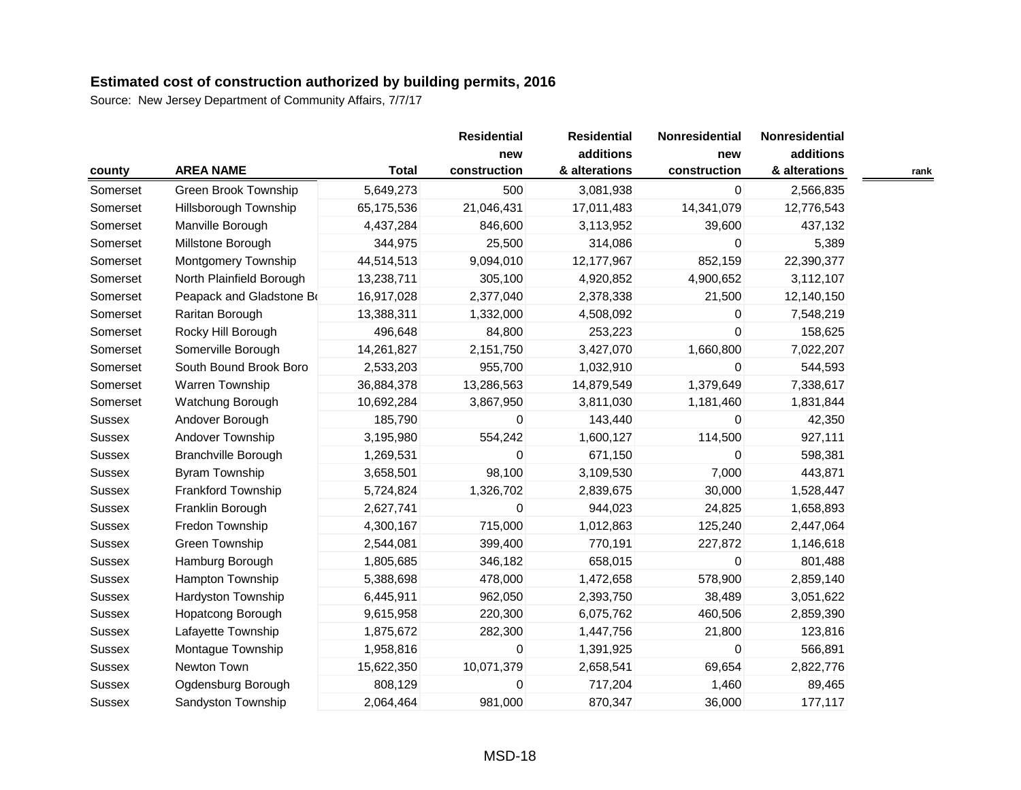|               |                            |              | <b>Residential</b><br>new | <b>Residential</b><br>additions | Nonresidential<br>new | Nonresidential<br>additions |      |
|---------------|----------------------------|--------------|---------------------------|---------------------------------|-----------------------|-----------------------------|------|
| county        | <b>AREA NAME</b>           | <b>Total</b> | construction              | & alterations                   | construction          | & alterations               | rank |
| Somerset      | Green Brook Township       | 5,649,273    | 500                       | 3,081,938                       | $\mathbf 0$           | 2,566,835                   |      |
| Somerset      | Hillsborough Township      | 65,175,536   | 21,046,431                | 17,011,483                      | 14,341,079            | 12,776,543                  |      |
| Somerset      | Manville Borough           | 4,437,284    | 846,600                   | 3,113,952                       | 39,600                | 437,132                     |      |
| Somerset      | Millstone Borough          | 344,975      | 25,500                    | 314,086                         | $\Omega$              | 5,389                       |      |
| Somerset      | Montgomery Township        | 44,514,513   | 9,094,010                 | 12,177,967                      | 852,159               | 22,390,377                  |      |
| Somerset      | North Plainfield Borough   | 13,238,711   | 305,100                   | 4,920,852                       | 4,900,652             | 3,112,107                   |      |
| Somerset      | Peapack and Gladstone Bo   | 16,917,028   | 2,377,040                 | 2,378,338                       | 21,500                | 12,140,150                  |      |
| Somerset      | Raritan Borough            | 13,388,311   | 1,332,000                 | 4,508,092                       | $\mathbf 0$           | 7,548,219                   |      |
| Somerset      | Rocky Hill Borough         | 496,648      | 84,800                    | 253,223                         | 0                     | 158,625                     |      |
| Somerset      | Somerville Borough         | 14,261,827   | 2,151,750                 | 3,427,070                       | 1,660,800             | 7,022,207                   |      |
| Somerset      | South Bound Brook Boro     | 2,533,203    | 955,700                   | 1,032,910                       | $\mathbf 0$           | 544,593                     |      |
| Somerset      | Warren Township            | 36,884,378   | 13,286,563                | 14,879,549                      | 1,379,649             | 7,338,617                   |      |
| Somerset      | Watchung Borough           | 10,692,284   | 3,867,950                 | 3,811,030                       | 1,181,460             | 1,831,844                   |      |
| <b>Sussex</b> | Andover Borough            | 185,790      | 0                         | 143,440                         | $\Omega$              | 42,350                      |      |
| Sussex        | Andover Township           | 3,195,980    | 554,242                   | 1,600,127                       | 114,500               | 927,111                     |      |
| Sussex        | <b>Branchville Borough</b> | 1,269,531    | 0                         | 671,150                         | 0                     | 598,381                     |      |
| Sussex        | <b>Byram Township</b>      | 3,658,501    | 98,100                    | 3,109,530                       | 7,000                 | 443,871                     |      |
| Sussex        | Frankford Township         | 5,724,824    | 1,326,702                 | 2,839,675                       | 30,000                | 1,528,447                   |      |
| Sussex        | Franklin Borough           | 2,627,741    | 0                         | 944,023                         | 24,825                | 1,658,893                   |      |
| Sussex        | Fredon Township            | 4,300,167    | 715,000                   | 1,012,863                       | 125,240               | 2,447,064                   |      |
| Sussex        | Green Township             | 2,544,081    | 399,400                   | 770,191                         | 227,872               | 1,146,618                   |      |
| <b>Sussex</b> | Hamburg Borough            | 1,805,685    | 346,182                   | 658,015                         | $\mathbf 0$           | 801,488                     |      |
| <b>Sussex</b> | Hampton Township           | 5,388,698    | 478,000                   | 1,472,658                       | 578,900               | 2,859,140                   |      |
| Sussex        | Hardyston Township         | 6,445,911    | 962,050                   | 2,393,750                       | 38,489                | 3,051,622                   |      |
| Sussex        | Hopatcong Borough          | 9,615,958    | 220,300                   | 6,075,762                       | 460,506               | 2,859,390                   |      |
| Sussex        | Lafayette Township         | 1,875,672    | 282,300                   | 1,447,756                       | 21,800                | 123,816                     |      |
| Sussex        | Montague Township          | 1,958,816    | 0                         | 1,391,925                       | 0                     | 566,891                     |      |
| <b>Sussex</b> | Newton Town                | 15,622,350   | 10,071,379                | 2,658,541                       | 69,654                | 2,822,776                   |      |
| <b>Sussex</b> | Ogdensburg Borough         | 808,129      | 0                         | 717,204                         | 1,460                 | 89,465                      |      |
| <b>Sussex</b> | Sandyston Township         | 2,064,464    | 981,000                   | 870,347                         | 36,000                | 177,117                     |      |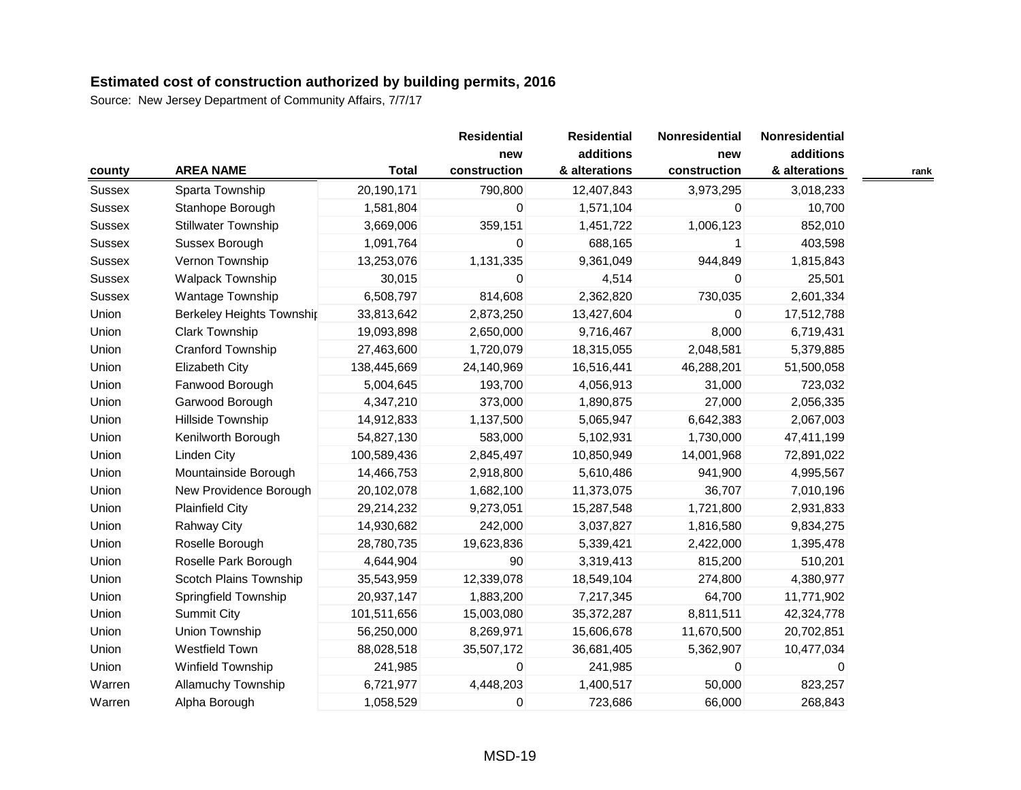| county | <b>AREA NAME</b>                 | <b>Total</b> | <b>Residential</b><br>new<br>construction | <b>Residential</b><br>additions<br>& alterations | Nonresidential<br>new<br>construction | Nonresidential<br>additions<br>& alterations | rank |
|--------|----------------------------------|--------------|-------------------------------------------|--------------------------------------------------|---------------------------------------|----------------------------------------------|------|
| Sussex | Sparta Township                  | 20,190,171   | 790,800                                   | 12,407,843                                       | 3,973,295                             | 3,018,233                                    |      |
| Sussex | Stanhope Borough                 | 1,581,804    | 0                                         | 1,571,104                                        | 0                                     | 10,700                                       |      |
| Sussex | <b>Stillwater Township</b>       | 3,669,006    | 359,151                                   | 1,451,722                                        | 1,006,123                             | 852,010                                      |      |
| Sussex | Sussex Borough                   | 1,091,764    | 0                                         | 688,165                                          | 1                                     | 403,598                                      |      |
| Sussex | Vernon Township                  | 13,253,076   | 1,131,335                                 | 9,361,049                                        | 944,849                               | 1,815,843                                    |      |
| Sussex | Walpack Township                 | 30,015       | 0                                         | 4,514                                            | 0                                     | 25,501                                       |      |
| Sussex | Wantage Township                 | 6,508,797    | 814,608                                   | 2,362,820                                        | 730,035                               | 2,601,334                                    |      |
| Union  | <b>Berkeley Heights Township</b> | 33,813,642   | 2,873,250                                 | 13,427,604                                       | 0                                     | 17,512,788                                   |      |
| Union  | Clark Township                   | 19,093,898   | 2,650,000                                 | 9,716,467                                        | 8,000                                 | 6,719,431                                    |      |
| Union  | Cranford Township                | 27,463,600   | 1,720,079                                 | 18,315,055                                       | 2,048,581                             | 5,379,885                                    |      |
| Union  | <b>Elizabeth City</b>            | 138,445,669  | 24,140,969                                | 16,516,441                                       | 46,288,201                            | 51,500,058                                   |      |
| Union  | Fanwood Borough                  | 5,004,645    | 193,700                                   | 4,056,913                                        | 31,000                                | 723,032                                      |      |
| Union  | Garwood Borough                  | 4,347,210    | 373,000                                   | 1,890,875                                        | 27,000                                | 2,056,335                                    |      |
| Union  | Hillside Township                | 14,912,833   | 1,137,500                                 | 5,065,947                                        | 6,642,383                             | 2,067,003                                    |      |
| Union  | Kenilworth Borough               | 54,827,130   | 583,000                                   | 5,102,931                                        | 1,730,000                             | 47,411,199                                   |      |
| Union  | <b>Linden City</b>               | 100,589,436  | 2,845,497                                 | 10,850,949                                       | 14,001,968                            | 72,891,022                                   |      |
| Union  | Mountainside Borough             | 14,466,753   | 2,918,800                                 | 5,610,486                                        | 941,900                               | 4,995,567                                    |      |
| Union  | New Providence Borough           | 20,102,078   | 1,682,100                                 | 11,373,075                                       | 36,707                                | 7,010,196                                    |      |
| Union  | <b>Plainfield City</b>           | 29,214,232   | 9,273,051                                 | 15,287,548                                       | 1,721,800                             | 2,931,833                                    |      |
| Union  | <b>Rahway City</b>               | 14,930,682   | 242,000                                   | 3,037,827                                        | 1,816,580                             | 9,834,275                                    |      |
| Union  | Roselle Borough                  | 28,780,735   | 19,623,836                                | 5,339,421                                        | 2,422,000                             | 1,395,478                                    |      |
| Union  | Roselle Park Borough             | 4,644,904    | 90                                        | 3,319,413                                        | 815,200                               | 510,201                                      |      |
| Union  | Scotch Plains Township           | 35,543,959   | 12,339,078                                | 18,549,104                                       | 274,800                               | 4,380,977                                    |      |
| Union  | Springfield Township             | 20,937,147   | 1,883,200                                 | 7,217,345                                        | 64,700                                | 11,771,902                                   |      |
| Union  | <b>Summit City</b>               | 101,511,656  | 15,003,080                                | 35,372,287                                       | 8,811,511                             | 42,324,778                                   |      |
| Union  | Union Township                   | 56,250,000   | 8,269,971                                 | 15,606,678                                       | 11,670,500                            | 20,702,851                                   |      |
| Union  | Westfield Town                   | 88,028,518   | 35,507,172                                | 36,681,405                                       | 5,362,907                             | 10,477,034                                   |      |
| Union  | Winfield Township                | 241,985      | 0                                         | 241,985                                          | 0                                     | 0                                            |      |
| Warren | <b>Allamuchy Township</b>        | 6,721,977    | 4,448,203                                 | 1,400,517                                        | 50,000                                | 823,257                                      |      |
| Warren | Alpha Borough                    | 1,058,529    | 0                                         | 723,686                                          | 66,000                                | 268,843                                      |      |